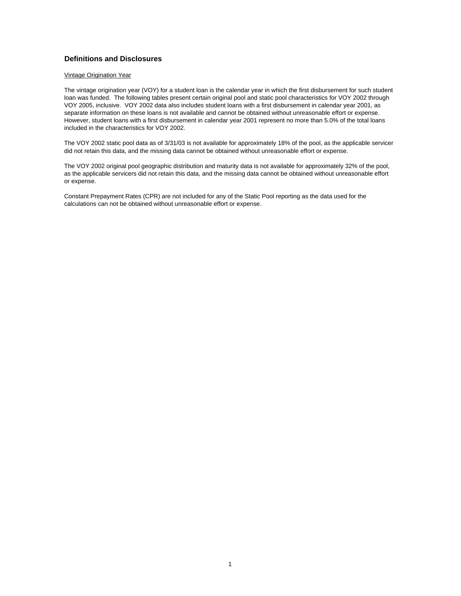#### **Definitions and Disclosures**

#### Vintage Origination Year

The vintage origination year (VOY) for a student loan is the calendar year in which the first disbursement for such student loan was funded. The following tables present certain original pool and static pool characteristics for VOY 2002 through VOY 2005, inclusive. VOY 2002 data also includes student loans with a first disbursement in calendar year 2001, as separate information on these loans is not available and cannot be obtained without unreasonable effort or expense. However, student loans with a first disbursement in calendar year 2001 represent no more than 5.0% of the total loans included in the characteristics for VOY 2002.

The VOY 2002 static pool data as of 3/31/03 is not available for approximately 18% of the pool, as the applicable servicer did not retain this data, and the missing data cannot be obtained without unreasonable effort or expense.

The VOY 2002 original pool geographic distribution and maturity data is not available for approximately 32% of the pool, as the applicable servicers did not retain this data, and the missing data cannot be obtained without unreasonable effort or expense.

Constant Prepayment Rates (CPR) are not included for any of the Static Pool reporting as the data used for the calculations can not be obtained without unreasonable effort or expense.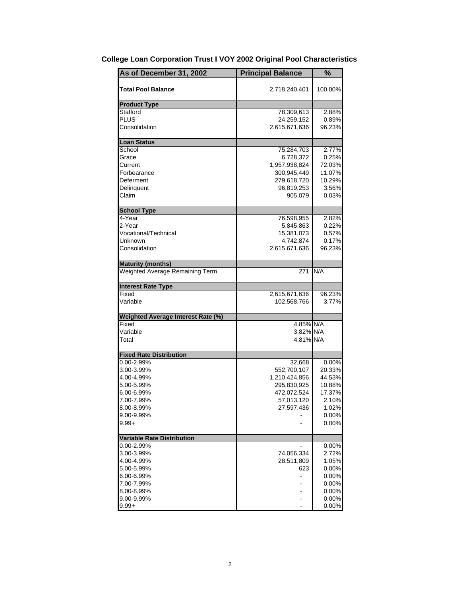| As of December 31, 2002            | <b>Principal Balance</b> | %        |
|------------------------------------|--------------------------|----------|
| <b>Total Pool Balance</b>          | 2,718,240,401            | 100.00%  |
| <b>Product Type</b>                |                          |          |
| Stafford                           | 78,309,613               | 2.88%    |
| <b>PLUS</b>                        | 24,259,152               | $0.89\%$ |
| Consolidation                      | 2,615,671,636            | 96.23%   |
| <b>Loan Status</b>                 |                          |          |
| School                             | 75,284,703               | 2.77%    |
| Grace                              | 6,728,372                | 0.25%    |
| Current                            | 1,957,938,824            | 72.03%   |
| Forbearance                        | 300,945,449              | 11.07%   |
| Deferment                          | 279,618,720              | 10.29%   |
| Delinquent                         | 96,819,253               | 3.56%    |
| Claim                              | 905,079                  | $0.03\%$ |
| <b>School Type</b>                 |                          |          |
| 4-Year                             | 76,598,955               | 2.82%    |
| 2-Year                             | 5,845,863                | 0.22%    |
| Vocational/Technical               | 15,381,073               | 0.57%    |
| Unknown                            | 4,742,874                | 0.17%    |
| Consolidation                      | 2,615,671,636            | 96.23%   |
| <b>Maturity (months)</b>           |                          |          |
| Weighted Average Remaining Term    | 271                      | N/A      |
| <b>Interest Rate Type</b>          |                          |          |
| Fixed                              | 2,615,671,636            | 96.23%   |
| Variable                           | 102,568,766              | 3.77%    |
| Weighted Average Interest Rate (%) |                          |          |
| Fixed                              | 4.85% N/A                |          |
| Variable                           | 3.82% N/A                |          |
| Total                              | 4.81% N/A                |          |
| <b>Fixed Rate Distribution</b>     |                          |          |
| 0.00-2.99%                         | 32,668                   | $0.00\%$ |
| 3.00-3.99%                         | 552,700,107              | 20.33%   |
| 4.00-4.99%                         | 1,210,424,856            | 44.53%   |
| 5.00-5.99%                         | 295,830,925              | 10.88%   |
| 6.00-6.99%                         | 472,072,524              | 17.37%   |
| 7.00-7.99%                         | 57,013,120               | 2.10%    |
| 8.00-8.99%                         | 27,597,436               | 1.02%    |
| 9.00-9.99%                         |                          | 0.00%    |
| $9.99 +$                           |                          | 0.00%    |
| <b>Variable Rate Distribution</b>  |                          |          |
| 0.00-2.99%                         |                          | 0.00%    |
| 3.00-3.99%                         | 74,056,334               | 2.72%    |
| 4.00-4.99%                         | 28,511,809               | 1.05%    |
| 5.00-5.99%                         | 623                      | 0.00%    |
| 6.00-6.99%                         |                          | 0.00%    |
| 7.00-7.99%                         |                          | 0.00%    |
| 8.00-8.99%                         |                          | 0.00%    |
| 9.00-9.99%                         |                          | 0.00%    |
| $9.99 +$                           |                          | 0.00%    |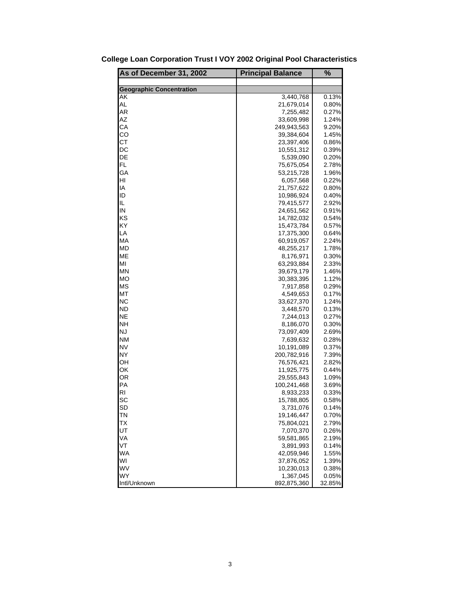| As of December 31, 2002         | <b>Principal Balance</b> | %        |
|---------------------------------|--------------------------|----------|
|                                 |                          |          |
| <b>Geographic Concentration</b> |                          |          |
| AK                              | 3,440,768                | 0.13%    |
| AL                              | 21,679,014               | 0.80%    |
| AR                              | 7,255,482                | $0.27\%$ |
| AZ                              | 33,609,998               | 1.24%    |
| СA                              | 249,943,563              | 9.20%    |
| CO                              | 39,384,604               | 1.45%    |
| <b>CT</b>                       | 23,397,406               | 0.86%    |
| DC                              | 10,551,312               | 0.39%    |
| DE                              | 5,539,090                | 0.20%    |
| FL.                             | 75,675,054               | 2.78%    |
| GA                              | 53,215,728               | 1.96%    |
| HI                              | 6,057,568                | 0.22%    |
| IA                              | 21,757,622               | 0.80%    |
| ID                              | 10,986,924               | 0.40%    |
| IL                              | 79,415,577               | 2.92%    |
| IN                              | 24,651,562               | 0.91%    |
| KS                              | 14,782,032               | 0.54%    |
| ΚY                              | 15,473,784               | 0.57%    |
| LA                              | 17,375,300               | 0.64%    |
| МA                              | 60,919,057               | 2.24%    |
| МD                              | 48,255,217               | 1.78%    |
| <b>ME</b>                       | 8,176,971                | 0.30%    |
| MI                              | 63,293,884               | 2.33%    |
| MN                              | 39,679,179               | 1.46%    |
| МO                              | 30,383,395               | 1.12%    |
| <b>MS</b>                       | 7,917,858                | 0.29%    |
| МT                              | 4,549,653                | 0.17%    |
| NС                              | 33,627,370               | 1.24%    |
| <b>ND</b>                       | 3,448,570                | 0.13%    |
| <b>NE</b>                       | 7,244,013                | 0.27%    |
| NΗ                              | 8,186,070                | 0.30%    |
| <b>NJ</b>                       | 73,097,409               | 2.69%    |
| <b>NM</b>                       | 7,639,632                | 0.28%    |
| <b>NV</b>                       | 10,191,089               | $0.37\%$ |
| <b>NY</b>                       | 200,782,916              | 7.39%    |
| OН                              | 76,576,421               | 2.82%    |
| ОК                              | 11,925,775               | 0.44%    |
| OR                              | 29,555,843               | 1.09%    |
| PA                              | 100,241,468              | 3.69%    |
| RI                              | 8,933,233                | 0.33%    |
| SC                              | 15,788,805               | 0.58%    |
| SD                              | 3,731,076                | 0.14%    |
| ΤN                              | 19,146,447               | 0.70%    |
| ТX                              | 75,804,021               | 2.79%    |
| UT                              | 7,070,370                | 0.26%    |
| VA                              | 59,581,865               | 2.19%    |
| VT                              | 3,891,993                | 0.14%    |
| <b>WA</b>                       |                          | 1.55%    |
| WI                              | 42,059,946               | 1.39%    |
|                                 | 37,876,052               |          |
| WV<br><b>WY</b>                 | 10,230,013               | 0.38%    |
|                                 | 1,367,045                | 0.05%    |
| Intl/Unknown                    | 892,875,360              | 32.85%   |

**College Loan Corporation Trust I VOY 2002 Original Pool Characteristics**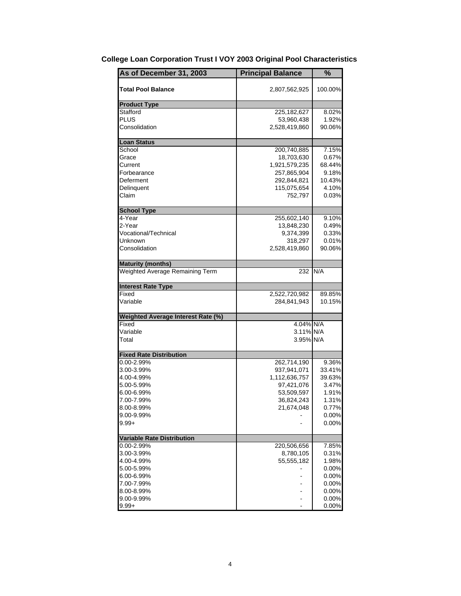| <b>Total Pool Balance</b><br>100.00%<br>2,807,562,925<br><b>Product Type</b><br>Stafford<br>225, 182, 627<br>8.02%<br>PLUS<br>1.92%<br>53,960,438<br>Consolidation<br>2,528,419,860<br>90.06%<br><b>Loan Status</b><br>7.15%<br>School<br>200,740,885<br>18,703,630<br>0.67%<br>Grace<br>1,921,579,235<br>68.44%<br>Current<br>Forbearance<br>257,865,904<br>9.18%<br>10.43%<br>Deferment<br>292,844,821<br>Delinquent<br>4.10%<br>115,075,654<br>Claim<br>752,797<br>$0.03\%$<br><b>School Type</b><br>4-Year<br>255,602,140<br>9.10%<br>2-Year<br>13,848,230<br>0.49%<br>0.33%<br>Vocational/Technical<br>9,374,399<br>0.01%<br>Unknown<br>318,297<br>Consolidation<br>2,528,419,860<br>90.06%<br>Weighted Average Remaining Term<br>N/A<br>232<br>Fixed<br>89.85%<br>2,522,720,982<br>Variable<br>284,841,943<br>10.15%<br>Fixed<br>4.04% N/A<br>3.11% N/A<br>Variable<br>Total<br>3.95% N/A<br>0.00-2.99%<br>262,714,190<br>9.36%<br>937,941,071<br>33.41%<br>3.00-3.99%<br>1,112,636,757<br>39.63%<br>4.00-4.99%<br>3.47%<br>5.00-5.99%<br>97,421,076<br>1.91%<br>6.00-6.99%<br>53,509,597<br>7.00-7.99%<br>36,824,243<br>1.31%<br>8.00-8.99%<br>21,674,048<br>0.77%<br>0.00%<br>9.00-9.99%<br>0.00%<br>$9.99 +$<br><b>Variable Rate Distribution</b><br>0.00-2.99%<br>220,506,656<br>7.85%<br>3.00-3.99%<br>8,780,105<br>0.31%<br>4.00-4.99%<br>55,555,182<br>1.98%<br>0.00%<br>5.00-5.99%<br>0.00%<br>6.00-6.99%<br>7.00-7.99%<br>0.00%<br>8.00-8.99%<br>0.00%<br>0.00%<br>9.00-9.99%<br>0.00% | As of December 31, 2003            | <b>Principal Balance</b> | % |
|-------------------------------------------------------------------------------------------------------------------------------------------------------------------------------------------------------------------------------------------------------------------------------------------------------------------------------------------------------------------------------------------------------------------------------------------------------------------------------------------------------------------------------------------------------------------------------------------------------------------------------------------------------------------------------------------------------------------------------------------------------------------------------------------------------------------------------------------------------------------------------------------------------------------------------------------------------------------------------------------------------------------------------------------------------------------------------------------------------------------------------------------------------------------------------------------------------------------------------------------------------------------------------------------------------------------------------------------------------------------------------------------------------------------------------------------------------------------------------------------------------|------------------------------------|--------------------------|---|
|                                                                                                                                                                                                                                                                                                                                                                                                                                                                                                                                                                                                                                                                                                                                                                                                                                                                                                                                                                                                                                                                                                                                                                                                                                                                                                                                                                                                                                                                                                       |                                    |                          |   |
|                                                                                                                                                                                                                                                                                                                                                                                                                                                                                                                                                                                                                                                                                                                                                                                                                                                                                                                                                                                                                                                                                                                                                                                                                                                                                                                                                                                                                                                                                                       |                                    |                          |   |
|                                                                                                                                                                                                                                                                                                                                                                                                                                                                                                                                                                                                                                                                                                                                                                                                                                                                                                                                                                                                                                                                                                                                                                                                                                                                                                                                                                                                                                                                                                       |                                    |                          |   |
|                                                                                                                                                                                                                                                                                                                                                                                                                                                                                                                                                                                                                                                                                                                                                                                                                                                                                                                                                                                                                                                                                                                                                                                                                                                                                                                                                                                                                                                                                                       |                                    |                          |   |
|                                                                                                                                                                                                                                                                                                                                                                                                                                                                                                                                                                                                                                                                                                                                                                                                                                                                                                                                                                                                                                                                                                                                                                                                                                                                                                                                                                                                                                                                                                       |                                    |                          |   |
|                                                                                                                                                                                                                                                                                                                                                                                                                                                                                                                                                                                                                                                                                                                                                                                                                                                                                                                                                                                                                                                                                                                                                                                                                                                                                                                                                                                                                                                                                                       |                                    |                          |   |
|                                                                                                                                                                                                                                                                                                                                                                                                                                                                                                                                                                                                                                                                                                                                                                                                                                                                                                                                                                                                                                                                                                                                                                                                                                                                                                                                                                                                                                                                                                       |                                    |                          |   |
|                                                                                                                                                                                                                                                                                                                                                                                                                                                                                                                                                                                                                                                                                                                                                                                                                                                                                                                                                                                                                                                                                                                                                                                                                                                                                                                                                                                                                                                                                                       |                                    |                          |   |
|                                                                                                                                                                                                                                                                                                                                                                                                                                                                                                                                                                                                                                                                                                                                                                                                                                                                                                                                                                                                                                                                                                                                                                                                                                                                                                                                                                                                                                                                                                       |                                    |                          |   |
|                                                                                                                                                                                                                                                                                                                                                                                                                                                                                                                                                                                                                                                                                                                                                                                                                                                                                                                                                                                                                                                                                                                                                                                                                                                                                                                                                                                                                                                                                                       |                                    |                          |   |
|                                                                                                                                                                                                                                                                                                                                                                                                                                                                                                                                                                                                                                                                                                                                                                                                                                                                                                                                                                                                                                                                                                                                                                                                                                                                                                                                                                                                                                                                                                       |                                    |                          |   |
|                                                                                                                                                                                                                                                                                                                                                                                                                                                                                                                                                                                                                                                                                                                                                                                                                                                                                                                                                                                                                                                                                                                                                                                                                                                                                                                                                                                                                                                                                                       |                                    |                          |   |
|                                                                                                                                                                                                                                                                                                                                                                                                                                                                                                                                                                                                                                                                                                                                                                                                                                                                                                                                                                                                                                                                                                                                                                                                                                                                                                                                                                                                                                                                                                       |                                    |                          |   |
|                                                                                                                                                                                                                                                                                                                                                                                                                                                                                                                                                                                                                                                                                                                                                                                                                                                                                                                                                                                                                                                                                                                                                                                                                                                                                                                                                                                                                                                                                                       |                                    |                          |   |
|                                                                                                                                                                                                                                                                                                                                                                                                                                                                                                                                                                                                                                                                                                                                                                                                                                                                                                                                                                                                                                                                                                                                                                                                                                                                                                                                                                                                                                                                                                       |                                    |                          |   |
|                                                                                                                                                                                                                                                                                                                                                                                                                                                                                                                                                                                                                                                                                                                                                                                                                                                                                                                                                                                                                                                                                                                                                                                                                                                                                                                                                                                                                                                                                                       |                                    |                          |   |
|                                                                                                                                                                                                                                                                                                                                                                                                                                                                                                                                                                                                                                                                                                                                                                                                                                                                                                                                                                                                                                                                                                                                                                                                                                                                                                                                                                                                                                                                                                       |                                    |                          |   |
|                                                                                                                                                                                                                                                                                                                                                                                                                                                                                                                                                                                                                                                                                                                                                                                                                                                                                                                                                                                                                                                                                                                                                                                                                                                                                                                                                                                                                                                                                                       | <b>Maturity (months)</b>           |                          |   |
|                                                                                                                                                                                                                                                                                                                                                                                                                                                                                                                                                                                                                                                                                                                                                                                                                                                                                                                                                                                                                                                                                                                                                                                                                                                                                                                                                                                                                                                                                                       |                                    |                          |   |
|                                                                                                                                                                                                                                                                                                                                                                                                                                                                                                                                                                                                                                                                                                                                                                                                                                                                                                                                                                                                                                                                                                                                                                                                                                                                                                                                                                                                                                                                                                       | <b>Interest Rate Type</b>          |                          |   |
|                                                                                                                                                                                                                                                                                                                                                                                                                                                                                                                                                                                                                                                                                                                                                                                                                                                                                                                                                                                                                                                                                                                                                                                                                                                                                                                                                                                                                                                                                                       |                                    |                          |   |
|                                                                                                                                                                                                                                                                                                                                                                                                                                                                                                                                                                                                                                                                                                                                                                                                                                                                                                                                                                                                                                                                                                                                                                                                                                                                                                                                                                                                                                                                                                       |                                    |                          |   |
|                                                                                                                                                                                                                                                                                                                                                                                                                                                                                                                                                                                                                                                                                                                                                                                                                                                                                                                                                                                                                                                                                                                                                                                                                                                                                                                                                                                                                                                                                                       | Weighted Average Interest Rate (%) |                          |   |
|                                                                                                                                                                                                                                                                                                                                                                                                                                                                                                                                                                                                                                                                                                                                                                                                                                                                                                                                                                                                                                                                                                                                                                                                                                                                                                                                                                                                                                                                                                       |                                    |                          |   |
|                                                                                                                                                                                                                                                                                                                                                                                                                                                                                                                                                                                                                                                                                                                                                                                                                                                                                                                                                                                                                                                                                                                                                                                                                                                                                                                                                                                                                                                                                                       |                                    |                          |   |
|                                                                                                                                                                                                                                                                                                                                                                                                                                                                                                                                                                                                                                                                                                                                                                                                                                                                                                                                                                                                                                                                                                                                                                                                                                                                                                                                                                                                                                                                                                       |                                    |                          |   |
|                                                                                                                                                                                                                                                                                                                                                                                                                                                                                                                                                                                                                                                                                                                                                                                                                                                                                                                                                                                                                                                                                                                                                                                                                                                                                                                                                                                                                                                                                                       | <b>Fixed Rate Distribution</b>     |                          |   |
|                                                                                                                                                                                                                                                                                                                                                                                                                                                                                                                                                                                                                                                                                                                                                                                                                                                                                                                                                                                                                                                                                                                                                                                                                                                                                                                                                                                                                                                                                                       |                                    |                          |   |
|                                                                                                                                                                                                                                                                                                                                                                                                                                                                                                                                                                                                                                                                                                                                                                                                                                                                                                                                                                                                                                                                                                                                                                                                                                                                                                                                                                                                                                                                                                       |                                    |                          |   |
|                                                                                                                                                                                                                                                                                                                                                                                                                                                                                                                                                                                                                                                                                                                                                                                                                                                                                                                                                                                                                                                                                                                                                                                                                                                                                                                                                                                                                                                                                                       |                                    |                          |   |
|                                                                                                                                                                                                                                                                                                                                                                                                                                                                                                                                                                                                                                                                                                                                                                                                                                                                                                                                                                                                                                                                                                                                                                                                                                                                                                                                                                                                                                                                                                       |                                    |                          |   |
|                                                                                                                                                                                                                                                                                                                                                                                                                                                                                                                                                                                                                                                                                                                                                                                                                                                                                                                                                                                                                                                                                                                                                                                                                                                                                                                                                                                                                                                                                                       |                                    |                          |   |
|                                                                                                                                                                                                                                                                                                                                                                                                                                                                                                                                                                                                                                                                                                                                                                                                                                                                                                                                                                                                                                                                                                                                                                                                                                                                                                                                                                                                                                                                                                       |                                    |                          |   |
|                                                                                                                                                                                                                                                                                                                                                                                                                                                                                                                                                                                                                                                                                                                                                                                                                                                                                                                                                                                                                                                                                                                                                                                                                                                                                                                                                                                                                                                                                                       |                                    |                          |   |
|                                                                                                                                                                                                                                                                                                                                                                                                                                                                                                                                                                                                                                                                                                                                                                                                                                                                                                                                                                                                                                                                                                                                                                                                                                                                                                                                                                                                                                                                                                       |                                    |                          |   |
|                                                                                                                                                                                                                                                                                                                                                                                                                                                                                                                                                                                                                                                                                                                                                                                                                                                                                                                                                                                                                                                                                                                                                                                                                                                                                                                                                                                                                                                                                                       |                                    |                          |   |
|                                                                                                                                                                                                                                                                                                                                                                                                                                                                                                                                                                                                                                                                                                                                                                                                                                                                                                                                                                                                                                                                                                                                                                                                                                                                                                                                                                                                                                                                                                       |                                    |                          |   |
|                                                                                                                                                                                                                                                                                                                                                                                                                                                                                                                                                                                                                                                                                                                                                                                                                                                                                                                                                                                                                                                                                                                                                                                                                                                                                                                                                                                                                                                                                                       |                                    |                          |   |
|                                                                                                                                                                                                                                                                                                                                                                                                                                                                                                                                                                                                                                                                                                                                                                                                                                                                                                                                                                                                                                                                                                                                                                                                                                                                                                                                                                                                                                                                                                       |                                    |                          |   |
|                                                                                                                                                                                                                                                                                                                                                                                                                                                                                                                                                                                                                                                                                                                                                                                                                                                                                                                                                                                                                                                                                                                                                                                                                                                                                                                                                                                                                                                                                                       |                                    |                          |   |
|                                                                                                                                                                                                                                                                                                                                                                                                                                                                                                                                                                                                                                                                                                                                                                                                                                                                                                                                                                                                                                                                                                                                                                                                                                                                                                                                                                                                                                                                                                       |                                    |                          |   |
|                                                                                                                                                                                                                                                                                                                                                                                                                                                                                                                                                                                                                                                                                                                                                                                                                                                                                                                                                                                                                                                                                                                                                                                                                                                                                                                                                                                                                                                                                                       |                                    |                          |   |
|                                                                                                                                                                                                                                                                                                                                                                                                                                                                                                                                                                                                                                                                                                                                                                                                                                                                                                                                                                                                                                                                                                                                                                                                                                                                                                                                                                                                                                                                                                       |                                    |                          |   |
|                                                                                                                                                                                                                                                                                                                                                                                                                                                                                                                                                                                                                                                                                                                                                                                                                                                                                                                                                                                                                                                                                                                                                                                                                                                                                                                                                                                                                                                                                                       |                                    |                          |   |
|                                                                                                                                                                                                                                                                                                                                                                                                                                                                                                                                                                                                                                                                                                                                                                                                                                                                                                                                                                                                                                                                                                                                                                                                                                                                                                                                                                                                                                                                                                       | $9.99 +$                           |                          |   |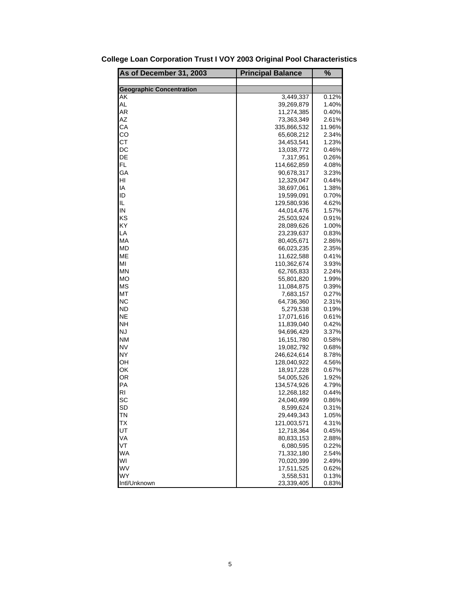| As of December 31, 2003         | <b>Principal Balance</b> | %              |
|---------------------------------|--------------------------|----------------|
|                                 |                          |                |
| <b>Geographic Concentration</b> |                          |                |
| AK                              | 3,449,337                | 0.12%          |
| AL                              | 39,269,879               | 1.40%          |
| AR<br>AZ                        | 11,274,385               | 0.40%          |
|                                 | 73,363,349               | 2.61%          |
| СA                              | 335,866,532              | 11.96%         |
| CO<br><b>CT</b>                 | 65,608,212               | 2.34%          |
|                                 | 34,453,541               | 1.23%          |
| DC                              | 13,038,772               | 0.46%          |
| DE<br>FL                        | 7,317,951                | 0.26%          |
|                                 | 114,662,859              | 4.08%          |
| GA<br>HI                        | 90,678,317               | 3.23%          |
| IA                              | 12,329,047               | 0.44%          |
|                                 | 38,697,061               | 1.38%          |
| ID                              | 19,599,091               | 0.70%          |
| IL                              | 129,580,936              | 4.62%          |
| IN                              | 44,014,476               | 1.57%          |
| KS                              | 25,503,924               | 0.91%          |
| KY                              | 28,089,626               | 1.00%          |
| LA                              | 23,239,637               | 0.83%          |
| MA                              | 80,405,671               | 2.86%          |
| MD                              | 66,023,235               | 2.35%          |
| ME                              | 11,622,588               | 0.41%          |
| MI                              | 110,362,674              | 3.93%          |
| MN                              | 62,765,833               | 2.24%          |
| МO                              | 55,801,820               | 1.99%          |
| <b>MS</b>                       | 11,084,875               | 0.39%          |
| МT                              | 7,683,157                | 0.27%          |
| NС                              | 64,736,360               | 2.31%          |
| ND                              | 5,279,538                | 0.19%          |
| <b>NE</b><br><b>NH</b>          | 17,071,616               | 0.61%          |
| <b>NJ</b>                       | 11,839,040               | 0.42%          |
| <b>NM</b>                       | 94,696,429               | 3.37%          |
| <b>NV</b>                       | 16,151,780               | 0.58%          |
| <b>NY</b>                       | 19,082,792               | 0.68%          |
|                                 | 246,624,614              | 8.78%          |
| OН<br>OK                        | 128,040,922              | 4.56%          |
| <b>OR</b>                       | 18,917,228               | 0.67%          |
| PA                              | 54,005,526               | 1.92%          |
| RI                              | 134,574,926              | 4.79%          |
|                                 | 12,268,182               | 0.44%<br>0.86% |
| SC                              | 24,040,499               |                |
| SD                              | 8,599,624<br>29,449,343  | 0.31%          |
| ΤN                              |                          | 1.05%          |
| ТX<br>UT                        | 121,003,571              | 4.31%          |
| VA                              | 12,718,364               | 0.45%          |
| VT                              | 80,833,153<br>6,080,595  | 2.88%<br>0.22% |
| <b>WA</b>                       | 71,332,180               | 2.54%          |
| WI                              | 70,020,399               | 2.49%          |
| WV                              |                          |                |
| <b>WY</b>                       | 17,511,525<br>3,558,531  | 0.62%<br>0.13% |
| Intl/Unknown                    | 23,339,405               | 0.83%          |

|  |  |  |  |  | College Loan Corporation Trust I VOY 2003 Original Pool Characteristics |
|--|--|--|--|--|-------------------------------------------------------------------------|
|--|--|--|--|--|-------------------------------------------------------------------------|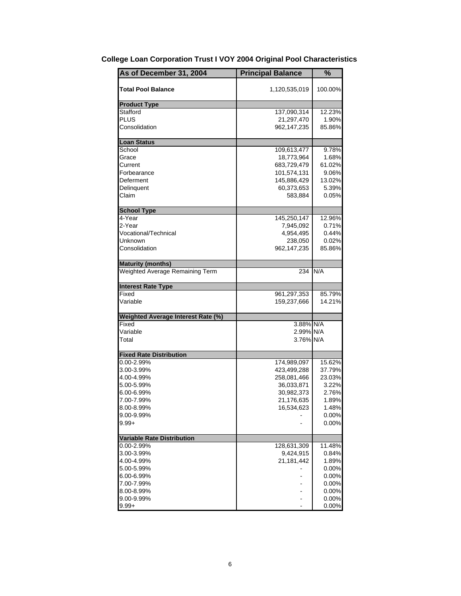| As of December 31, 2004            | <b>Principal Balance</b>                 | %                         |
|------------------------------------|------------------------------------------|---------------------------|
| <b>Total Pool Balance</b>          | 1,120,535,019                            | 100.00%                   |
| <b>Product Type</b>                |                                          |                           |
| Stafford<br>PLUS<br>Consolidation  | 137,090,314<br>21,297,470<br>962,147,235 | 12.23%<br>1.90%<br>85.86% |
|                                    |                                          |                           |
| <b>Loan Status</b>                 |                                          |                           |
| School<br>Grace                    | 109,613,477<br>18,773,964                | 9.78%<br>1.68%            |
| Current                            | 683,729,479                              | 61.02%                    |
| Forbearance                        | 101,574,131                              | 9.06%                     |
| Deferment                          | 145,886,429                              | 13.02%                    |
| Delinquent                         | 60,373,653                               | 5.39%                     |
| Claim                              | 583,884                                  | $0.05\%$                  |
| <b>School Type</b>                 |                                          |                           |
| 4-Year                             | 145,250,147                              | 12.96%                    |
| 2-Year                             | 7,945,092                                | 0.71%                     |
| Vocational/Technical               | 4,954,495                                | 0.44%                     |
| Unknown                            | 238,050                                  | 0.02%                     |
| Consolidation                      | 962,147,235                              | 85.86%                    |
| <b>Maturity (months)</b>           |                                          |                           |
| Weighted Average Remaining Term    | 234                                      | N/A                       |
| <b>Interest Rate Type</b>          |                                          |                           |
| Fixed                              | 961,297,353                              | 85.79%                    |
| Variable                           | 159,237,666                              | 14.21%                    |
| Weighted Average Interest Rate (%) |                                          |                           |
| Fixed                              | 3.88% N/A                                |                           |
| Variable                           | 2.99% N/A                                |                           |
| Total                              | 3.76% N/A                                |                           |
| <b>Fixed Rate Distribution</b>     |                                          |                           |
| 0.00-2.99%                         | 174,989,097                              | 15.62%                    |
| 3.00-3.99%                         | 423,499,288                              | 37.79%                    |
| 4.00-4.99%                         | 258,081,466                              | 23.03%                    |
| 5.00-5.99%                         | 36,033,871                               | 3.22%                     |
| 6.00-6.99%<br>7.00-7.99%           | 30,982,373<br>21,176,635                 | 2.76%<br>1.89%            |
| 8.00-8.99%                         | 16,534,623                               | 1.48%                     |
| 9.00-9.99%                         |                                          | 0.00%                     |
| $9.99 +$                           |                                          | 0.00%                     |
|                                    |                                          |                           |
| <b>Variable Rate Distribution</b>  |                                          |                           |
| 0.00-2.99%                         | 128,631,309                              | 11.48%                    |
| 3.00-3.99%                         | 9,424,915<br>21,181,442                  | 0.84%                     |
| 4.00-4.99%                         |                                          | 1.89%<br>0.00%            |
| 5.00-5.99%<br>6.00-6.99%           |                                          | 0.00%                     |
| 7.00-7.99%                         |                                          | 0.00%                     |
| 8.00-8.99%                         |                                          | 0.00%                     |
| 9.00-9.99%                         |                                          | 0.00%                     |
| $9.99 +$                           |                                          | 0.00%                     |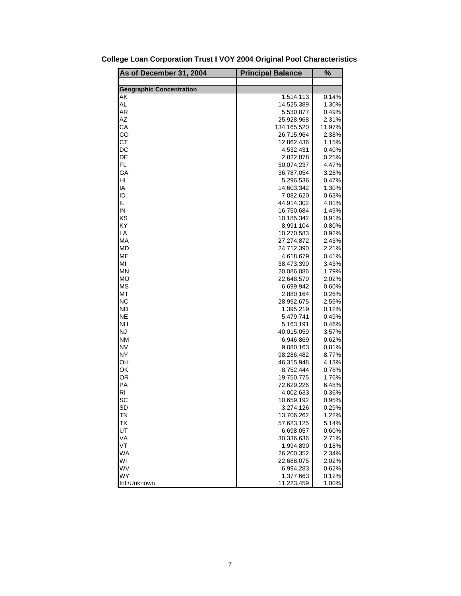| As of December 31, 2004         | <b>Principal Balance</b> | %      |
|---------------------------------|--------------------------|--------|
|                                 |                          |        |
| <b>Geographic Concentration</b> |                          |        |
| AK                              | 1,514,113                | 0.14%  |
| AL                              | 14,525,389               | 1.30%  |
| AR                              | 5,530,877                | 0.49%  |
| AZ                              | 25,928,968               | 2.31%  |
| СA                              | 134,165,520              | 11.97% |
| CO                              | 26,715,964               | 2.38%  |
| <b>CT</b>                       | 12,862,436               | 1.15%  |
| DC                              | 4,532,431                | 0.40%  |
| DE                              | 2,822,878                | 0.25%  |
| FL.                             | 50,074,237               | 4.47%  |
| GA                              | 36,787,054               | 3.28%  |
| HI                              | 5,296,536                | 0.47%  |
| IA                              | 14,603,342               | 1.30%  |
| ID                              | 7,082,620                | 0.63%  |
| IL                              | 44,914,302               | 4.01%  |
| IN                              | 16,750,684               | 1.49%  |
| KS                              | 10,185,342               | 0.91%  |
| ΚY                              | 8,991,104                | 0.80%  |
| LA                              | 10,270,583               | 0.92%  |
| МA                              | 27,274,872               | 2.43%  |
| МD                              | 24,712,390               | 2.21%  |
| <b>ME</b>                       | 4,618,679                | 0.41%  |
| MI                              | 38,473,390               | 3.43%  |
| MN                              | 20,086,086               | 1.79%  |
| МO                              | 22,648,570               | 2.02%  |
| <b>MS</b>                       | 6,699,942                | 0.60%  |
| МT                              | 2,880,164                | 0.26%  |
| NС                              | 28,992,675               | 2.59%  |
| <b>ND</b>                       | 1,395,219                | 0.12%  |
| <b>NE</b>                       | 5,479,741                | 0.49%  |
| NΗ                              | 5,163,191                | 0.46%  |
| <b>NJ</b>                       | 40,015,059               | 3.57%  |
| <b>NM</b>                       | 6,946,869                | 0.62%  |
| <b>NV</b>                       | 9,080,163                | 0.81%  |
| <b>NY</b>                       | 98,286,482               | 8.77%  |
| OН                              | 46,315,948               | 4.13%  |
| ОК                              | 8,752,444                | 0.78%  |
| OR                              | 19,750,775               | 1.76%  |
| PA                              | 72,629,226               | 6.48%  |
| RI                              | 4,002,633                | 0.36%  |
| SC                              | 10,659,192               | 0.95%  |
| SD                              | 3,274,126                | 0.29%  |
| ΤN                              | 13,706,262               | 1.22%  |
| ТX                              | 57,623,125               | 5.14%  |
| UT                              | 6,698,057                | 0.60%  |
| VA                              | 30,336,636               | 2.71%  |
| VT                              | 1,994,890                | 0.18%  |
| <b>WA</b>                       | 26,200,352               | 2.34%  |
| WI                              | 22,688,075               | 2.02%  |
| WV                              | 6,994,283                | 0.62%  |
| <b>WY</b>                       | 1,377,663                | 0.12%  |
| Intl/Unknown                    | 11,223,459               | 1.00%  |

**College Loan Corporation Trust I VOY 2004 Original Pool Characteristics**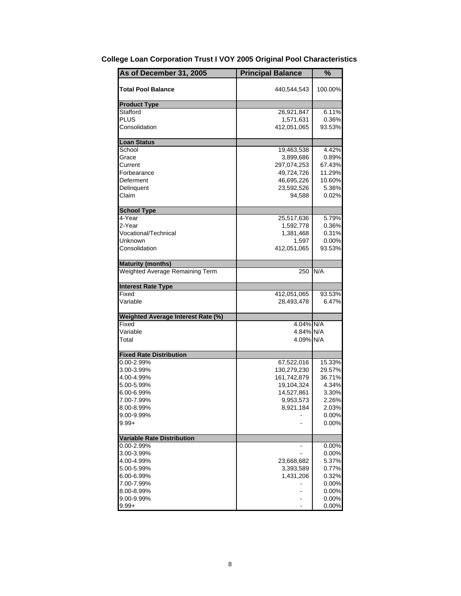| As of December 31, 2005            | <b>Principal Balance</b>               | %                        |
|------------------------------------|----------------------------------------|--------------------------|
| <b>Total Pool Balance</b>          | 440,544,543                            | 100.00%                  |
| <b>Product Type</b>                |                                        |                          |
| Stafford<br>PLUS<br>Consolidation  | 26,921,847<br>1,571,631<br>412,051,065 | 6.11%<br>0.36%<br>93.53% |
| <b>Loan Status</b>                 |                                        |                          |
| School                             | 19,463,538                             | 4.42%                    |
| Grace                              | 3,899,686                              | 0.89%                    |
| Current                            | 297,074,253                            | 67.43%                   |
| Forbearance                        | 49,724,726                             | 11.29%                   |
| Deferment                          | 46,695,226                             | 10.60%                   |
| Delinquent<br>Claim                | 23,592,526<br>94,588                   | 5.36%<br>$0.02\%$        |
| <b>School Type</b>                 |                                        |                          |
| 4-Year                             | 25,517,636                             | 5.79%                    |
| 2-Year                             | 1,592,778                              | 0.36%                    |
| Vocational/Technical               | 1,381,468                              | 0.31%                    |
| Unknown                            | 1,597                                  | $0.00\%$                 |
| Consolidation                      | 412,051,065                            | 93.53%                   |
| <b>Maturity (months)</b>           |                                        |                          |
| Weighted Average Remaining Term    | 250                                    | N/A                      |
| <b>Interest Rate Type</b>          |                                        |                          |
| Fixed                              | 412,051,065                            | 93.53%                   |
| Variable                           | 28,493,478                             | 6.47%                    |
| Weighted Average Interest Rate (%) |                                        |                          |
| Fixed                              | 4.04% N/A                              |                          |
| Variable                           | 4.84% N/A                              |                          |
| Total                              | 4.09% N/A                              |                          |
| <b>Fixed Rate Distribution</b>     |                                        |                          |
| 0.00-2.99%                         | 67,522,016                             | 15.33%                   |
| 3.00-3.99%                         | 130,279,230                            | 29.57%                   |
| 4.00-4.99%                         | 161,742,879                            | 36.71%                   |
| 5.00-5.99%                         | 19,104,324                             | 4.34%                    |
| 6.00-6.99%                         | 14,527,861                             | 3.30%                    |
| 7.00-7.99%                         | 9,953,573                              | 2.26%                    |
| 8.00-8.99%                         | 8,921,184                              | 2.03%                    |
| 9.00-9.99%                         |                                        | 0.00%                    |
| $9.99 +$                           |                                        | 0.00%                    |
| <b>Variable Rate Distribution</b>  |                                        |                          |
| 0.00-2.99%                         |                                        | 0.00%                    |
| 3.00-3.99%                         |                                        | 0.00%                    |
| 4.00-4.99%                         | 23,668,682                             | 5.37%                    |
| 5.00-5.99%                         | 3,393,589                              | 0.77%                    |
| 6.00-6.99%                         | 1,431,206                              | 0.32%                    |
| 7.00-7.99%<br>8.00-8.99%           |                                        | 0.00%<br>0.00%           |
| 9.00-9.99%                         |                                        | 0.00%                    |
| $9.99 +$                           |                                        | 0.00%                    |

# **College Loan Corporation Trust I VOY 2005 Original Pool Characteristics**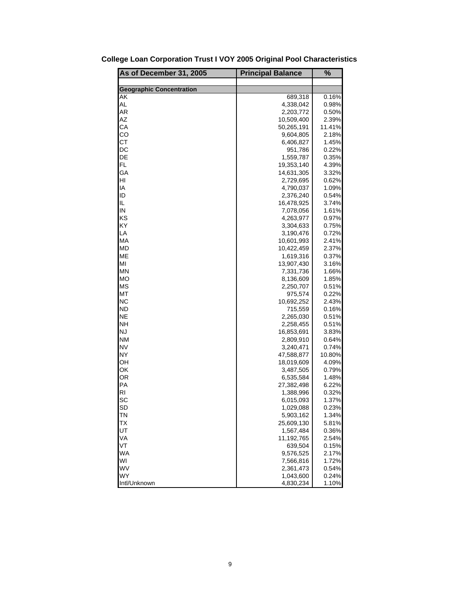| As of December 31, 2005         | <b>Principal Balance</b> | %      |
|---------------------------------|--------------------------|--------|
|                                 |                          |        |
| <b>Geographic Concentration</b> |                          |        |
| AK                              | 689,318                  | 0.16%  |
| AL                              | 4,338,042                | 0.98%  |
| AR                              | 2,203,772                | 0.50%  |
| AZ                              | 10,509,400               | 2.39%  |
| СA                              | 50,265,191               | 11.41% |
| CO                              | 9,604,805                | 2.18%  |
| <b>CT</b>                       | 6,406,827                | 1.45%  |
| DC                              | 951,786                  | 0.22%  |
| DE                              | 1,559,787                | 0.35%  |
| FL.                             | 19,353,140               | 4.39%  |
| GA                              | 14,631,305               | 3.32%  |
| HI                              | 2,729,695                | 0.62%  |
| IA                              | 4,790,037                | 1.09%  |
| ID                              | 2,376,240                | 0.54%  |
| IL                              | 16,478,925               | 3.74%  |
| IN                              | 7,078,056                | 1.61%  |
| KS                              | 4,263,977                | 0.97%  |
| KY                              | 3,304,633                | 0.75%  |
| LA                              | 3,190,476                | 0.72%  |
| МA                              | 10,601,993               | 2.41%  |
| МD                              | 10,422,459               | 2.37%  |
| <b>ME</b>                       | 1,619,316                | 0.37%  |
| MI                              | 13,907,430               | 3.16%  |
| MN                              | 7,331,736                | 1.66%  |
| МO                              | 8,136,609                | 1.85%  |
| <b>MS</b>                       | 2,250,707                | 0.51%  |
| МT                              | 975,574                  | 0.22%  |
| NС                              | 10,692,252               | 2.43%  |
| <b>ND</b>                       | 715,559                  | 0.16%  |
| <b>NE</b>                       | 2,265,030                | 0.51%  |
| NΗ                              | 2,258,455                | 0.51%  |
| <b>NJ</b>                       | 16,853,691               | 3.83%  |
| <b>NM</b>                       | 2,809,910                | 0.64%  |
| <b>NV</b>                       | 3,240,471                | 0.74%  |
| <b>NY</b>                       | 47,588,877               | 10.80% |
| OН                              | 18,019,609               | 4.09%  |
| ОК                              | 3,487,505                | 0.79%  |
| <b>OR</b>                       | 6,535,584                | 1.48%  |
| PA                              | 27,382,498               | 6.22%  |
| RI                              | 1,388,996                | 0.32%  |
| SC                              | 6,015,093                | 1.37%  |
| SD                              | 1,029,088                | 0.23%  |
| ΤN                              | 5,903,162                | 1.34%  |
| ТX                              | 25,609,130               | 5.81%  |
| UT                              | 1,567,484                | 0.36%  |
| VA                              | 11,192,765               | 2.54%  |
| VT                              | 639,504                  | 0.15%  |
| <b>WA</b>                       | 9,576,525                | 2.17%  |
| WI                              | 7,566,816                | 1.72%  |
| WV                              | 2,361,473                | 0.54%  |
| <b>WY</b>                       | 1,043,600                | 0.24%  |
| Intl/Unknown                    | 4,830,234                | 1.10%  |

**College Loan Corporation Trust I VOY 2005 Original Pool Characteristics**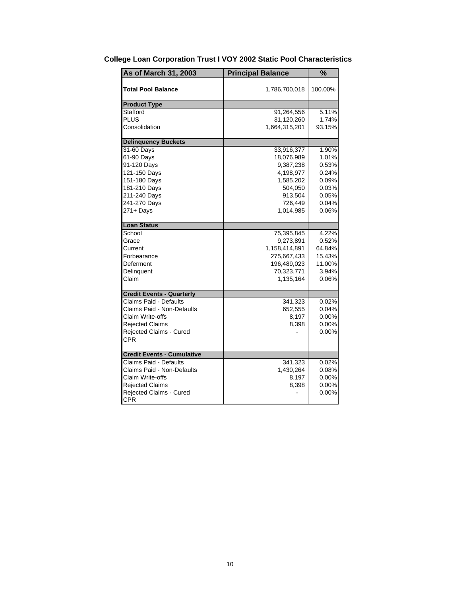| <b>As of March 31, 2003</b>       | <b>Principal Balance</b> | %        |
|-----------------------------------|--------------------------|----------|
| <b>Total Pool Balance</b>         | 1,786,700,018            | 100.00%  |
| <b>Product Type</b>               |                          |          |
| Stafford                          | 91,264,556               | 5.11%    |
| <b>PLUS</b>                       | 31,120,260               | 1.74%    |
| Consolidation                     | 1,664,315,201            | 93.15%   |
| <b>Delinquency Buckets</b>        |                          |          |
| 31-60 Days                        | 33,916,377               | 1.90%    |
| 61-90 Days                        | 18,076,989               | 1.01%    |
| 91-120 Days                       | 9,387,238                | 0.53%    |
| 121-150 Days                      | 4,198,977                | 0.24%    |
| 151-180 Days                      | 1,585,202                | 0.09%    |
| 181-210 Days                      | 504,050                  | 0.03%    |
| 211-240 Days                      | 913,504                  | 0.05%    |
| 241-270 Days                      | 726,449                  | 0.04%    |
| 271+ Days                         | 1,014,985                | 0.06%    |
| <b>Loan Status</b>                |                          |          |
| School                            | 75,395,845               | 4.22%    |
| Grace                             | 9,273,891                | 0.52%    |
| Current                           | 1,158,414,891            | 64.84%   |
| Forbearance                       | 275,667,433              | 15.43%   |
| Deferment                         | 196,489,023              | 11.00%   |
| Delinquent                        | 70,323,771               | 3.94%    |
| Claim                             | 1,135,164                | 0.06%    |
| <b>Credit Events - Quarterly</b>  |                          |          |
| Claims Paid - Defaults            | 341,323                  | 0.02%    |
| <b>Claims Paid - Non-Defaults</b> | 652,555                  | 0.04%    |
| Claim Write-offs                  | 8,197                    | $0.00\%$ |
| <b>Rejected Claims</b>            | 8,398                    | 0.00%    |
| Rejected Claims - Cured           |                          | 0.00%    |
| CPR                               |                          |          |
| <b>Credit Events - Cumulative</b> |                          |          |
| Claims Paid - Defaults            | 341,323                  | 0.02%    |
| Claims Paid - Non-Defaults        | 1,430,264                | 0.08%    |
| Claim Write-offs                  | 8,197                    | 0.00%    |
| <b>Rejected Claims</b>            | 8,398                    | 0.00%    |
| Rejected Claims - Cured           |                          | 0.00%    |
| <b>CPR</b>                        |                          |          |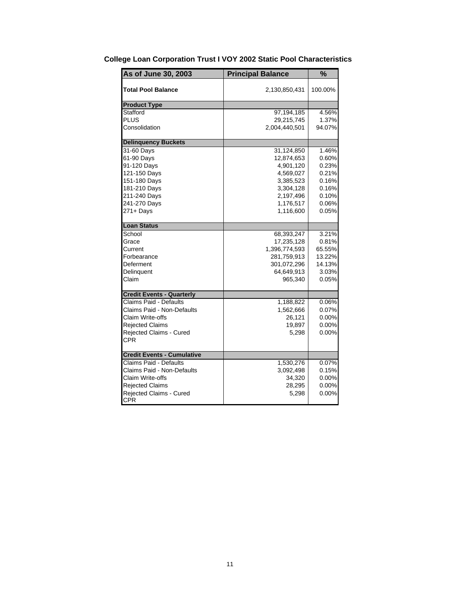| As of June 30, 2003               | <b>Principal Balance</b> | $\frac{1}{2}$ |
|-----------------------------------|--------------------------|---------------|
| Total Pool Balance                | 2,130,850,431            | 100.00%       |
| <b>Product Type</b>               |                          |               |
| Stafford                          | 97,194,185               | 4.56%         |
| PLUS                              | 29,215,745               | 1.37%         |
| Consolidation                     | 2,004,440,501            | 94.07%        |
| <b>Delinquency Buckets</b>        |                          |               |
| 31-60 Days                        | 31,124,850               | 1.46%         |
| 61-90 Days                        | 12,874,653               | 0.60%         |
| 91-120 Days                       | 4,901,120                | 0.23%         |
| 121-150 Days                      | 4,569,027                | 0.21%         |
| 151-180 Days                      | 3,385,523                | 0.16%         |
| 181-210 Days                      | 3,304,128                | 0.16%         |
| 211-240 Days                      | 2,197,496                | 0.10%         |
| 241-270 Days                      | 1,176,517                | 0.06%         |
| 271+ Days                         | 1,116,600                | 0.05%         |
| <b>Loan Status</b>                |                          |               |
| School                            | 68,393,247               | 3.21%         |
| Grace                             | 17,235,128               | 0.81%         |
| Current                           | 1,396,774,593            | 65.55%        |
| Forbearance                       | 281,759,913              | 13.22%        |
| Deferment                         | 301,072,296              | 14.13%        |
| Delinguent                        | 64,649,913               | 3.03%         |
| Claim                             | 965,340                  | 0.05%         |
| <b>Credit Events - Quarterly</b>  |                          |               |
| Claims Paid - Defaults            | 1,188,822                | 0.06%         |
| Claims Paid - Non-Defaults        | 1,562,666                | 0.07%         |
| Claim Write-offs                  | 26,121                   | $0.00\%$      |
| <b>Rejected Claims</b>            | 19,897                   | 0.00%         |
| Rejected Claims - Cured           | 5,298                    | 0.00%         |
| CPR                               |                          |               |
| <b>Credit Events - Cumulative</b> |                          |               |
| Claims Paid - Defaults            | 1,530,276                | 0.07%         |
| Claims Paid - Non-Defaults        | 3,092,498                | 0.15%         |
| Claim Write-offs                  | 34,320                   | 0.00%         |
| <b>Rejected Claims</b>            | 28,295                   | 0.00%         |
| <b>Rejected Claims - Cured</b>    | 5,298                    | 0.00%         |
| <b>CPR</b>                        |                          |               |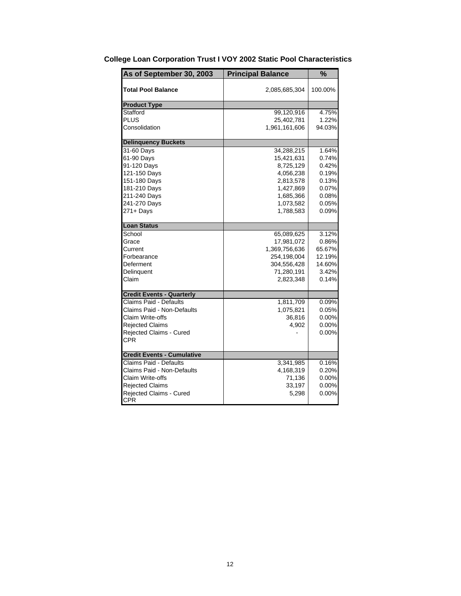| As of September 30, 2003          | <b>Principal Balance</b> | %        |
|-----------------------------------|--------------------------|----------|
| <b>Total Pool Balance</b>         | 2,085,685,304            | 100.00%  |
| <b>Product Type</b>               |                          |          |
| Stafford                          | 99,120,916               | 4.75%    |
| <b>PLUS</b>                       | 25,402,781               | 1.22%    |
| Consolidation                     | 1,961,161,606            | 94.03%   |
| <b>Delinquency Buckets</b>        |                          |          |
| 31-60 Days                        | 34,288,215               | 1.64%    |
| 61-90 Days                        | 15,421,631               | 0.74%    |
| 91-120 Days                       | 8,725,129                | 0.42%    |
| 121-150 Days                      | 4,056,238                | 0.19%    |
| 151-180 Days                      | 2,813,578                | 0.13%    |
| 181-210 Days                      | 1,427,869                | 0.07%    |
| 211-240 Days                      | 1,685,366                | 0.08%    |
| 241-270 Days                      | 1,073,582                | 0.05%    |
| 271+ Days                         | 1,788,583                | 0.09%    |
| <b>Loan Status</b>                |                          |          |
| School                            | 65,089,625               | 3.12%    |
| Grace                             | 17,981,072               | 0.86%    |
| Current                           | 1,369,756,636            | 65.67%   |
| Forbearance                       | 254,198,004              | 12.19%   |
| Deferment                         | 304,556,428              | 14.60%   |
| Delinquent                        | 71,280,191               | 3.42%    |
| Claim                             | 2,823,348                | 0.14%    |
| <b>Credit Events - Quarterly</b>  |                          |          |
| Claims Paid - Defaults            | 1,811,709                | 0.09%    |
| Claims Paid - Non-Defaults        | 1,075,821                | 0.05%    |
| Claim Write-offs                  | 36,816                   | $0.00\%$ |
| <b>Rejected Claims</b>            | 4,902                    | 0.00%    |
| Rejected Claims - Cured           |                          | 0.00%    |
| <b>CPR</b>                        |                          |          |
| <b>Credit Events - Cumulative</b> |                          |          |
| <b>Claims Paid - Defaults</b>     | 3,341,985                | 0.16%    |
| Claims Paid - Non-Defaults        | 4,168,319                | 0.20%    |
| Claim Write-offs                  | 71,136                   | $0.00\%$ |
| <b>Rejected Claims</b>            | 33,197                   | $0.00\%$ |
| Rejected Claims - Cured           | 5,298                    | 0.00%    |
| <b>CPR</b>                        |                          |          |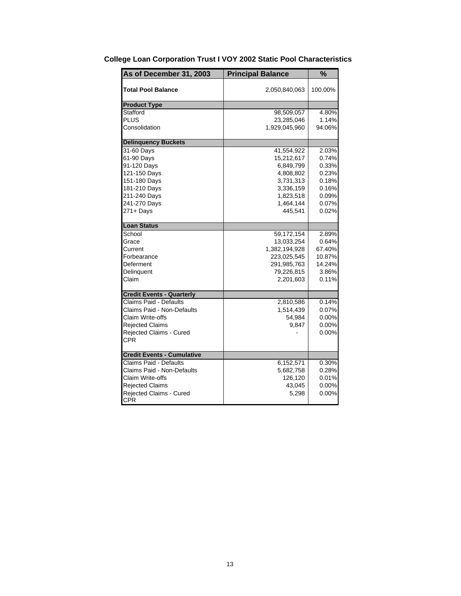| As of December 31, 2003           | <b>Principal Balance</b> | %        |
|-----------------------------------|--------------------------|----------|
| <b>Total Pool Balance</b>         | 2,050,840,063            | 100.00%  |
| <b>Product Type</b>               |                          |          |
| Stafford                          | 98,509,057               | 4.80%    |
| <b>PLUS</b>                       | 23,285,046               | 1.14%    |
| Consolidation                     | 1,929,045,960            | 94.06%   |
| <b>Delinquency Buckets</b>        |                          |          |
| 31-60 Days                        | 41,554,922               | 2.03%    |
| 61-90 Days                        | 15,212,617               | 0.74%    |
| 91-120 Days                       | 6,849,799                | 0.33%    |
| 121-150 Days                      | 4,808,802                | 0.23%    |
| 151-180 Days                      | 3,731,313                | 0.18%    |
| 181-210 Days                      | 3,336,159                | 0.16%    |
| 211-240 Days                      | 1,823,518                | 0.09%    |
| 241-270 Days                      | 1,464,144                | 0.07%    |
| $271 +$ Days                      | 445,541                  | 0.02%    |
| <b>Loan Status</b>                |                          |          |
| School                            | 59,172,154               | 2.89%    |
| Grace                             | 13,033,254               | 0.64%    |
| Current                           | 1,382,194,928            | 67.40%   |
| Forbearance                       | 223,025,545              | 10.87%   |
| Deferment                         | 291,985,763              | 14.24%   |
| Delinquent                        | 79,226,815               | 3.86%    |
| Claim                             | 2,201,603                | 0.11%    |
| <b>Credit Events - Quarterly</b>  |                          |          |
| Claims Paid - Defaults            | 2,810,586                | 0.14%    |
| Claims Paid - Non-Defaults        | 1,514,439                | 0.07%    |
| Claim Write-offs                  | 54,984                   | $0.00\%$ |
| <b>Rejected Claims</b>            | 9,847                    | $0.00\%$ |
| Rejected Claims - Cured           |                          | 0.00%    |
| <b>CPR</b>                        |                          |          |
| <b>Credit Events - Cumulative</b> |                          |          |
| <b>Claims Paid - Defaults</b>     | 6,152,571                | 0.30%    |
| Claims Paid - Non-Defaults        | 5,682,758                | 0.28%    |
| Claim Write-offs                  | 126,120                  | 0.01%    |
| <b>Rejected Claims</b>            | 43,045                   | $0.00\%$ |
| Rejected Claims - Cured           | 5,298                    | 0.00%    |
| <b>CPR</b>                        |                          |          |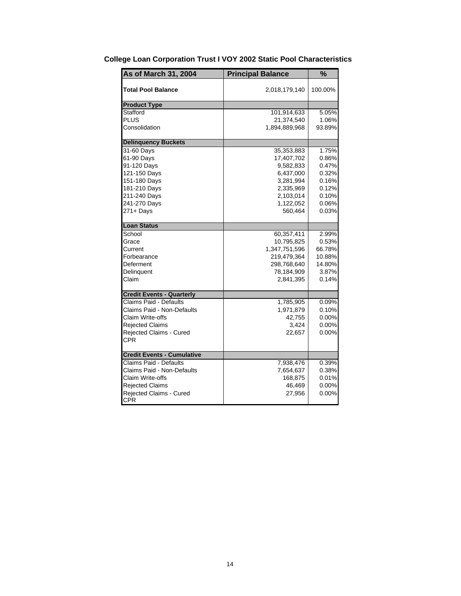| As of March 31, 2004              | <b>Principal Balance</b> | %        |
|-----------------------------------|--------------------------|----------|
| Total Pool Balance                | 2,018,179,140            | 100.00%  |
| <b>Product Type</b>               |                          |          |
| Stafford                          | 101,914,633              | 5.05%    |
| PLUS                              | 21,374,540               | 1.06%    |
| Consolidation                     | 1,894,889,968            | 93.89%   |
| <b>Delinquency Buckets</b>        |                          |          |
| 31-60 Days                        | 35,353,883               | 1.75%    |
| 61-90 Days                        | 17,407,702               | 0.86%    |
| 91-120 Days                       | 9,582,833                | 0.47%    |
| 121-150 Days                      | 6,437,000                | 0.32%    |
| 151-180 Days                      | 3,281,994                | 0.16%    |
| 181-210 Days                      | 2,335,969                | 0.12%    |
| 211-240 Days                      | 2,103,014                | 0.10%    |
| 241-270 Days                      | 1,122,052                | 0.06%    |
| $271 +$ Days                      | 560,464                  | 0.03%    |
| <b>Loan Status</b>                |                          |          |
| School                            | 60,357,411               | 2.99%    |
| Grace                             | 10,795,825               | 0.53%    |
| Current                           | 1,347,751,596            | 66.78%   |
| Forbearance                       | 219,479,364              | 10.88%   |
| Deferment                         | 298,768,640              | 14.80%   |
| Delinguent                        | 78,184,909               | 3.87%    |
| Claim                             | 2,841,395                | 0.14%    |
| <b>Credit Events - Quarterly</b>  |                          |          |
| Claims Paid - Defaults            | 1,785,905                | 0.09%    |
| Claims Paid - Non-Defaults        | 1,971,879                | 0.10%    |
| Claim Write-offs                  | 42,755                   | $0.00\%$ |
| <b>Rejected Claims</b>            | 3,424                    | 0.00%    |
| Rejected Claims - Cured           | 22,657                   | 0.00%    |
| CPR                               |                          |          |
| <b>Credit Events - Cumulative</b> |                          |          |
| Claims Paid - Defaults            | 7,938,476                | 0.39%    |
| Claims Paid - Non-Defaults        | 7,654,637                | 0.38%    |
| Claim Write-offs                  | 168,875                  | 0.01%    |
| <b>Rejected Claims</b>            | 46,469                   | 0.00%    |
| Rejected Claims - Cured           | 27,956                   | 0.00%    |
| <b>CPR</b>                        |                          |          |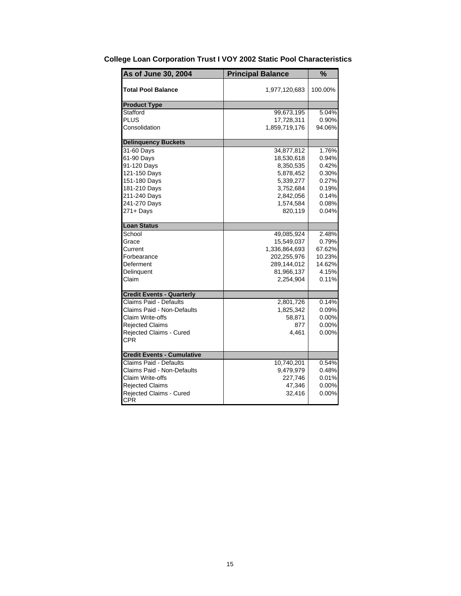| As of June 30, 2004               | <b>Principal Balance</b> | $\frac{9}{6}$ |
|-----------------------------------|--------------------------|---------------|
| Total Pool Balance                | 1,977,120,683            | 100.00%       |
| <b>Product Type</b>               |                          |               |
| Stafford                          | 99,673,195               | 5.04%         |
| <b>PLUS</b>                       | 17,728,311               | 0.90%         |
| Consolidation                     | 1,859,719,176            | 94.06%        |
| <b>Delinquency Buckets</b>        |                          |               |
| 31-60 Days                        | 34,877,812               | 1.76%         |
| 61-90 Days                        | 18,530,618               | 0.94%         |
| 91-120 Days                       | 8,350,535                | 0.42%         |
| 121-150 Days                      | 5,878,452                | 0.30%         |
| 151-180 Days                      | 5,339,277                | 0.27%         |
| 181-210 Days                      | 3,752,684                | 0.19%         |
| 211-240 Days                      | 2,842,056                | 0.14%         |
| 241-270 Days                      | 1,574,584                | 0.08%         |
| $271 +$ Days                      | 820,119                  | 0.04%         |
| <b>Loan Status</b>                |                          |               |
| School                            | 49,085,924               | 2.48%         |
| Grace                             | 15,549,037               | 0.79%         |
| Current                           | 1,336,864,693            | 67.62%        |
| Forbearance                       | 202,255,976              | 10.23%        |
| Deferment                         | 289,144,012              | 14.62%        |
| Delinguent                        | 81,966,137               | 4.15%         |
| Claim                             | 2,254,904                | 0.11%         |
| <b>Credit Events - Quarterly</b>  |                          |               |
| Claims Paid - Defaults            | 2,801,726                | 0.14%         |
| Claims Paid - Non-Defaults        | 1,825,342                | 0.09%         |
| Claim Write-offs                  | 58,871                   | 0.00%         |
| <b>Rejected Claims</b>            | 877                      | 0.00%         |
| Rejected Claims - Cured           | 4,461                    | 0.00%         |
| CPR                               |                          |               |
| <b>Credit Events - Cumulative</b> |                          |               |
| Claims Paid - Defaults            | 10,740,201               | 0.54%         |
| Claims Paid - Non-Defaults        | 9,479,979                | 0.48%         |
| Claim Write-offs                  | 227,746                  | 0.01%         |
| <b>Rejected Claims</b>            | 47,346                   | 0.00%         |
| Rejected Claims - Cured           | 32,416                   | 0.00%         |
| <b>CPR</b>                        |                          |               |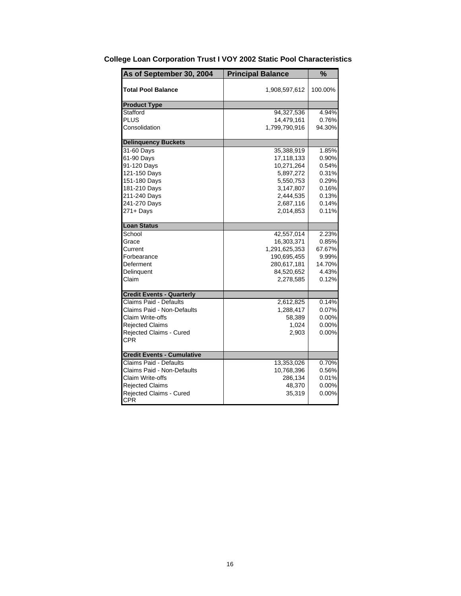| As of September 30, 2004          | <b>Principal Balance</b> | %        |
|-----------------------------------|--------------------------|----------|
| <b>Total Pool Balance</b>         | 1,908,597,612            | 100.00%  |
| <b>Product Type</b>               |                          |          |
| Stafford                          | 94,327,536               | 4.94%    |
| <b>PLUS</b>                       | 14,479,161               | 0.76%    |
| Consolidation                     | 1,799,790,916            | 94.30%   |
| <b>Delinquency Buckets</b>        |                          |          |
| 31-60 Days                        | 35,388,919               | 1.85%    |
| 61-90 Days                        | 17,118,133               | 0.90%    |
| 91-120 Days                       | 10,271,264               | 0.54%    |
| 121-150 Days                      | 5,897,272                | 0.31%    |
| 151-180 Days                      | 5,550,753                | 0.29%    |
| 181-210 Days                      | 3,147,807                | 0.16%    |
| 211-240 Days                      | 2,444,535                | 0.13%    |
| 241-270 Days                      | 2,687,116                | 0.14%    |
| 271+ Days                         | 2,014,853                | 0.11%    |
| <b>Loan Status</b>                |                          |          |
| School                            | 42,557,014               | 2.23%    |
| Grace                             | 16,303,371               | 0.85%    |
| Current                           | 1,291,625,353            | 67.67%   |
| Forbearance                       | 190,695,455              | 9.99%    |
| Deferment                         | 280,617,181              | 14.70%   |
| Delinguent                        | 84,520,652               | 4.43%    |
| Claim                             | 2,278,585                | 0.12%    |
| <b>Credit Events - Quarterly</b>  |                          |          |
| Claims Paid - Defaults            | 2,612,825                | 0.14%    |
| Claims Paid - Non-Defaults        | 1,288,417                | 0.07%    |
| Claim Write-offs                  | 58,389                   | $0.00\%$ |
| <b>Rejected Claims</b>            | 1,024                    | 0.00%    |
| Rejected Claims - Cured           | 2,903                    | 0.00%    |
| CPR                               |                          |          |
| <b>Credit Events - Cumulative</b> |                          |          |
| Claims Paid - Defaults            | 13,353,026               | 0.70%    |
| Claims Paid - Non-Defaults        | 10,768,396               | 0.56%    |
| Claim Write-offs                  | 286,134                  | 0.01%    |
| <b>Rejected Claims</b>            | 48,370                   | 0.00%    |
| Rejected Claims - Cured           | 35,319                   | 0.00%    |
| <b>CPR</b>                        |                          |          |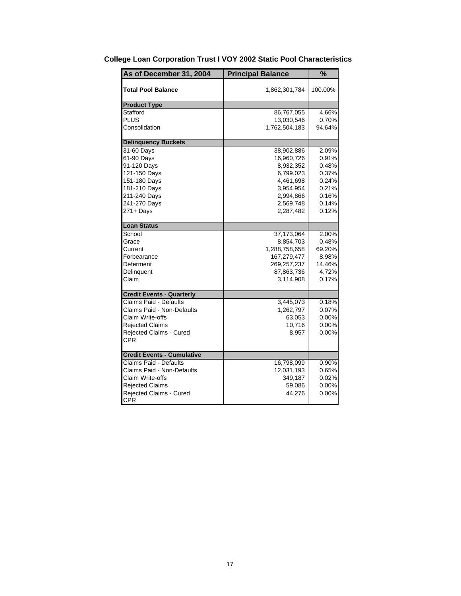| As of December 31, 2004           | <b>Principal Balance</b> | %        |
|-----------------------------------|--------------------------|----------|
| <b>Total Pool Balance</b>         | 1,862,301,784            | 100.00%  |
| <b>Product Type</b>               |                          |          |
| Stafford                          | 86,767,055               | 4.66%    |
| PLUS                              | 13,030,546               | 0.70%    |
| Consolidation                     | 1,762,504,183            | 94.64%   |
| <b>Delinquency Buckets</b>        |                          |          |
| 31-60 Days                        | 38,902,886               | 2.09%    |
| 61-90 Days                        | 16,960,726               | 0.91%    |
| 91-120 Days                       | 8,932,352                | 0.48%    |
| 121-150 Days                      | 6,799,023                | 0.37%    |
| 151-180 Days                      | 4,461,698                | 0.24%    |
| 181-210 Days                      | 3,954,954                | 0.21%    |
| 211-240 Days                      | 2,994,866                | 0.16%    |
| 241-270 Days                      | 2,569,748                | 0.14%    |
| $271 +$ Days                      | 2,287,482                | 0.12%    |
| <b>Loan Status</b>                |                          |          |
| School                            | 37,173,064               | 2.00%    |
| Grace                             | 8,854,703                | 0.48%    |
| Current                           | 1,288,758,658            | 69.20%   |
| Forbearance                       | 167,279,477              | 8.98%    |
| Deferment                         | 269,257,237              | 14.46%   |
| Delinquent                        | 87,863,736               | 4.72%    |
| Claim                             | 3,114,908                | 0.17%    |
| <b>Credit Events - Quarterly</b>  |                          |          |
| Claims Paid - Defaults            | 3,445,073                | 0.18%    |
| Claims Paid - Non-Defaults        | 1,262,797                | 0.07%    |
| Claim Write-offs                  | 63,053                   | $0.00\%$ |
| <b>Rejected Claims</b>            | 10,716                   | $0.00\%$ |
| Rejected Claims - Cured           | 8,957                    | 0.00%    |
| CPR                               |                          |          |
| <b>Credit Events - Cumulative</b> |                          |          |
| <b>Claims Paid - Defaults</b>     | 16,798,099               | 0.90%    |
| Claims Paid - Non-Defaults        | 12,031,193               | 0.65%    |
| Claim Write-offs                  | 349,187                  | 0.02%    |
| <b>Rejected Claims</b>            | 59,086                   | 0.00%    |
| Rejected Claims - Cured           | 44,276                   | 0.00%    |
| CPR                               |                          |          |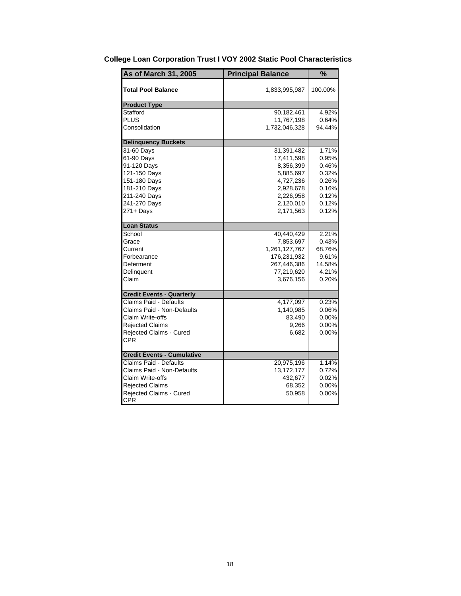| As of March 31, 2005              | <b>Principal Balance</b> | $\frac{1}{2}$ |
|-----------------------------------|--------------------------|---------------|
| Total Pool Balance                | 1,833,995,987            | 100.00%       |
| <b>Product Type</b>               |                          |               |
| Stafford                          | 90,182,461               | 4.92%         |
| PLUS                              | 11,767,198               | 0.64%         |
| Consolidation                     | 1,732,046,328            | 94.44%        |
| <b>Delinquency Buckets</b>        |                          |               |
| 31-60 Days                        | 31,391,482               | 1.71%         |
| 61-90 Days                        | 17,411,598               | 0.95%         |
| 91-120 Days                       | 8,356,399                | 0.46%         |
| 121-150 Days                      | 5,885,697                | 0.32%         |
| 151-180 Days                      | 4,727,236                | 0.26%         |
| 181-210 Days                      | 2,928,678                | 0.16%         |
| 211-240 Days                      | 2,226,958                | 0.12%         |
| 241-270 Days                      | 2,120,010                | 0.12%         |
| 271+ Days                         | 2,171,563                | 0.12%         |
| <b>Loan Status</b>                |                          |               |
| School                            | 40,440,429               | 2.21%         |
| Grace                             | 7,853,697                | 0.43%         |
| Current                           | 1,261,127,767            | 68.76%        |
| Forbearance                       | 176,231,932              | 9.61%         |
| Deferment                         | 267,446,386              | 14.58%        |
| Delinguent                        | 77,219,620               | 4.21%         |
| Claim                             | 3,676,156                | 0.20%         |
| <b>Credit Events - Quarterly</b>  |                          |               |
| Claims Paid - Defaults            | 4,177,097                | 0.23%         |
| Claims Paid - Non-Defaults        | 1,140,985                | 0.06%         |
| Claim Write-offs                  | 83,490                   | $0.00\%$      |
| <b>Rejected Claims</b>            | 9,266                    | 0.00%         |
| Rejected Claims - Cured           | 6,682                    | 0.00%         |
| CPR                               |                          |               |
| <b>Credit Events - Cumulative</b> |                          |               |
| Claims Paid - Defaults            | 20,975,196               | 1.14%         |
| Claims Paid - Non-Defaults        | 13,172,177               | 0.72%         |
| Claim Write-offs                  | 432,677                  | 0.02%         |
| <b>Rejected Claims</b>            | 68,352                   | 0.00%         |
| <b>Rejected Claims - Cured</b>    | 50,958                   | 0.00%         |
| <b>CPR</b>                        |                          |               |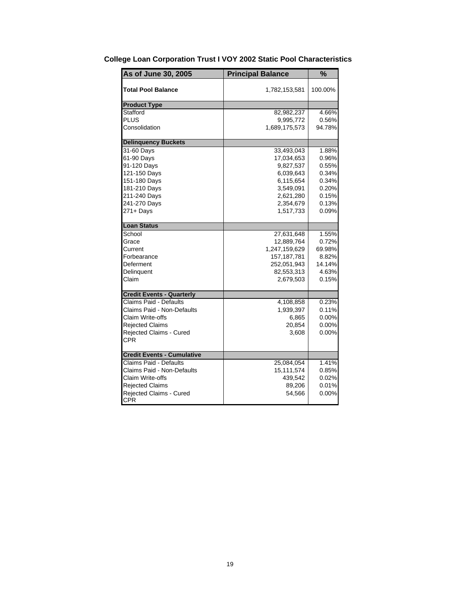| As of June 30, 2005               | <b>Principal Balance</b> | $\frac{1}{2}$ |
|-----------------------------------|--------------------------|---------------|
| <b>Total Pool Balance</b>         | 1,782,153,581            | 100.00%       |
| <b>Product Type</b>               |                          |               |
| Stafford                          | 82,982,237               | 4.66%         |
| <b>PLUS</b>                       | 9,995,772                | 0.56%         |
| Consolidation                     | 1,689,175,573            | 94.78%        |
| <b>Delinquency Buckets</b>        |                          |               |
| 31-60 Days                        | 33,493,043               | 1.88%         |
| 61-90 Days                        | 17,034,653               | 0.96%         |
| 91-120 Days                       | 9,827,537                | 0.55%         |
| 121-150 Days                      | 6,039,643                | 0.34%         |
| 151-180 Days                      | 6,115,654                | 0.34%         |
| 181-210 Days                      | 3,549,091                | 0.20%         |
| 211-240 Days                      | 2,621,280                | 0.15%         |
| 241-270 Days                      | 2,354,679                | 0.13%         |
| $271 +$ Days                      | 1,517,733                | 0.09%         |
| <b>Loan Status</b>                |                          |               |
| School                            | 27,631,648               | 1.55%         |
| Grace                             | 12,889,764               | 0.72%         |
| Current                           | 1,247,159,629            | 69.98%        |
| Forbearance                       | 157, 187, 781            | 8.82%         |
| Deferment                         | 252,051,943              | 14.14%        |
| Delinguent                        | 82,553,313               | 4.63%         |
| Claim                             | 2,679,503                | 0.15%         |
| <b>Credit Events - Quarterly</b>  |                          |               |
| Claims Paid - Defaults            | 4,108,858                | 0.23%         |
| Claims Paid - Non-Defaults        | 1,939,397                | 0.11%         |
| Claim Write-offs                  | 6,865                    | 0.00%         |
| <b>Rejected Claims</b>            | 20,854                   | 0.00%         |
| Rejected Claims - Cured           | 3,608                    | 0.00%         |
| CPR                               |                          |               |
| <b>Credit Events - Cumulative</b> |                          |               |
| Claims Paid - Defaults            | 25,084,054               | 1.41%         |
| Claims Paid - Non-Defaults        | 15,111,574               | 0.85%         |
| Claim Write-offs                  | 439,542                  | 0.02%         |
| <b>Rejected Claims</b>            | 89,206                   | 0.01%         |
| Rejected Claims - Cured           | 54,566                   | 0.00%         |
| <b>CPR</b>                        |                          |               |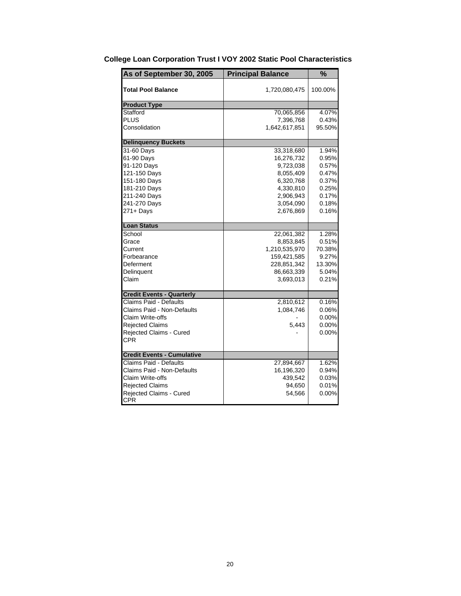| As of September 30, 2005          | <b>Principal Balance</b> | %        |
|-----------------------------------|--------------------------|----------|
| <b>Total Pool Balance</b>         | 1,720,080,475            | 100.00%  |
| <b>Product Type</b>               |                          |          |
| Stafford                          | 70,065,856               | 4.07%    |
| <b>PLUS</b>                       | 7,396,768                | 0.43%    |
| Consolidation                     | 1,642,617,851            | 95.50%   |
| <b>Delinquency Buckets</b>        |                          |          |
| 31-60 Days                        | 33,318,680               | 1.94%    |
| 61-90 Days                        | 16,276,732               | 0.95%    |
| 91-120 Days                       | 9,723,038                | 0.57%    |
| 121-150 Days                      | 8,055,409                | 0.47%    |
| 151-180 Days                      | 6,320,768                | 0.37%    |
| 181-210 Days                      | 4,330,810                | 0.25%    |
| 211-240 Days                      | 2,906,943                | 0.17%    |
| 241-270 Days                      | 3,054,090                | 0.18%    |
| 271+ Days                         | 2,676,869                | 0.16%    |
| <b>Loan Status</b>                |                          |          |
| School                            | 22,061,382               | 1.28%    |
| Grace                             | 8,853,845                | 0.51%    |
| Current                           | 1,210,535,970            | 70.38%   |
| Forbearance                       | 159,421,585              | 9.27%    |
| Deferment                         | 228,851,342              | 13.30%   |
| Delinquent                        | 86,663,339               | 5.04%    |
| Claim                             | 3,693,013                | 0.21%    |
| <b>Credit Events - Quarterly</b>  |                          |          |
| Claims Paid - Defaults            | 2,810,612                | 0.16%    |
| Claims Paid - Non-Defaults        | 1,084,746                | 0.06%    |
| Claim Write-offs                  |                          | 0.00%    |
| <b>Rejected Claims</b>            | 5,443                    | $0.00\%$ |
| Rejected Claims - Cured           |                          | 0.00%    |
| <b>CPR</b>                        |                          |          |
| <b>Credit Events - Cumulative</b> |                          |          |
| <b>Claims Paid - Defaults</b>     | 27,894,667               | 1.62%    |
| Claims Paid - Non-Defaults        | 16,196,320               | 0.94%    |
| Claim Write-offs                  | 439,542                  | 0.03%    |
| <b>Rejected Claims</b>            | 94,650                   | 0.01%    |
| Rejected Claims - Cured           | 54,566                   | 0.00%    |
| <b>CPR</b>                        |                          |          |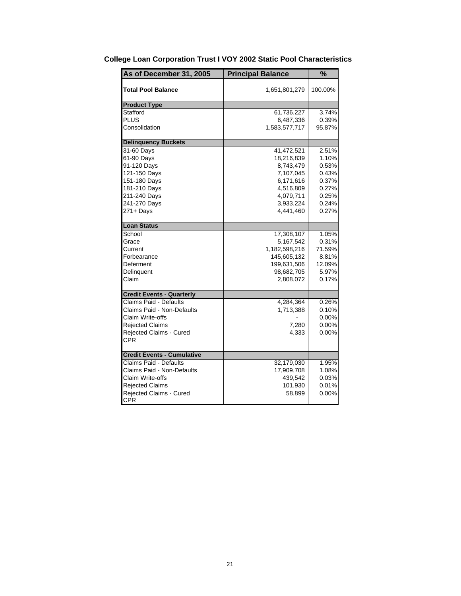| As of December 31, 2005           | <b>Principal Balance</b> | %        |
|-----------------------------------|--------------------------|----------|
| <b>Total Pool Balance</b>         | 1,651,801,279            | 100.00%  |
| <b>Product Type</b>               |                          |          |
| Stafford                          | 61,736,227               | 3.74%    |
| <b>PLUS</b>                       | 6,487,336                | 0.39%    |
| Consolidation                     | 1,583,577,717            | 95.87%   |
| <b>Delinquency Buckets</b>        |                          |          |
| 31-60 Days                        | 41,472,521               | 2.51%    |
| 61-90 Days                        | 18,216,839               | 1.10%    |
| 91-120 Days                       | 8,743,479                | 0.53%    |
| 121-150 Days                      | 7,107,045                | 0.43%    |
| 151-180 Days                      | 6,171,616                | 0.37%    |
| 181-210 Days                      | 4,516,809                | 0.27%    |
| 211-240 Days                      | 4,079,711                | 0.25%    |
| 241-270 Days                      | 3,933,224                | 0.24%    |
| 271+ Days                         | 4,441,460                | 0.27%    |
| <b>Loan Status</b>                |                          |          |
| School                            | 17,308,107               | 1.05%    |
| Grace                             | 5,167,542                | 0.31%    |
| Current                           | 1,182,598,216            | 71.59%   |
| Forbearance                       | 145,605,132              | 8.81%    |
| Deferment                         | 199,631,506              | 12.09%   |
| Delinguent                        | 98,682,705               | 5.97%    |
| Claim                             | 2,808,072                | 0.17%    |
| <b>Credit Events - Quarterly</b>  |                          |          |
| Claims Paid - Defaults            | 4,284,364                | 0.26%    |
| Claims Paid - Non-Defaults        | 1,713,388                | 0.10%    |
| Claim Write-offs                  |                          | $0.00\%$ |
| <b>Rejected Claims</b>            | 7,280                    | 0.00%    |
| Rejected Claims - Cured           | 4,333                    | 0.00%    |
| <b>CPR</b>                        |                          |          |
| <b>Credit Events - Cumulative</b> |                          |          |
| Claims Paid - Defaults            | 32,179,030               | 1.95%    |
| Claims Paid - Non-Defaults        | 17,909,708               | 1.08%    |
| Claim Write-offs                  | 439,542                  | 0.03%    |
| <b>Rejected Claims</b>            | 101,930                  | 0.01%    |
| Rejected Claims - Cured           | 58,899                   | 0.00%    |
| <b>CPR</b>                        |                          |          |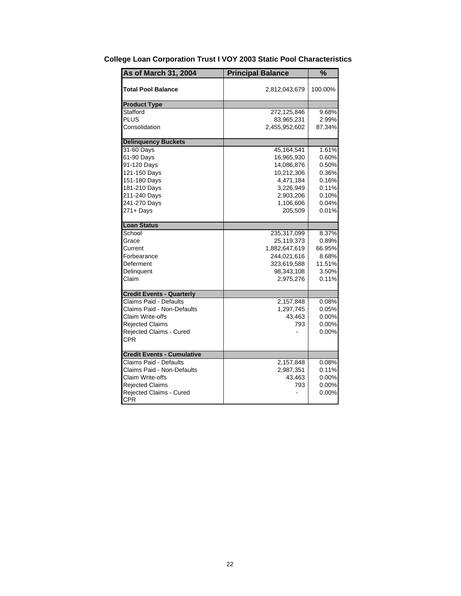| <b>As of March 31, 2004</b>       | <b>Principal Balance</b> | %        |
|-----------------------------------|--------------------------|----------|
| <b>Total Pool Balance</b>         | 2,812,043,679            | 100.00%  |
| <b>Product Type</b>               |                          |          |
| Stafford                          | 272,125,846              | 9.68%    |
| PLUS                              | 83,965,231               | 2.99%    |
| Consolidation                     | 2,455,952,602            | 87.34%   |
| <b>Delinquency Buckets</b>        |                          |          |
| 31-60 Days                        | 45, 164, 541             | 1.61%    |
| 61-90 Days                        | 16,965,930               | 0.60%    |
| 91-120 Days                       | 14,086,876               | 0.50%    |
| 121-150 Days                      | 10,212,306               | 0.36%    |
| 151-180 Days                      | 4,471,184                | 0.16%    |
| 181-210 Days                      | 3,226,949                | 0.11%    |
| 211-240 Days                      | 2,903,206                | 0.10%    |
| 241-270 Days                      | 1,106,606                | 0.04%    |
| 271+ Days                         | 205,509                  | 0.01%    |
| <b>Loan Status</b>                |                          |          |
| School                            | 235,317,099              | 8.37%    |
| Grace                             | 25,119,373               | 0.89%    |
| Current                           | 1,882,647,619            | 66.95%   |
| Forbearance                       | 244,021,616              | 8.68%    |
| Deferment                         | 323,619,588              | 11.51%   |
| Delinquent                        | 98,343,108               | 3.50%    |
| Claim                             | 2,975,276                | 0.11%    |
| <b>Credit Events - Quarterly</b>  |                          |          |
| Claims Paid - Defaults            | 2,157,848                | 0.08%    |
| <b>Claims Paid - Non-Defaults</b> | 1,297,745                | 0.05%    |
| Claim Write-offs                  | 43,463                   | $0.00\%$ |
| <b>Rejected Claims</b>            | 793                      | 0.00%    |
| Rejected Claims - Cured           |                          | 0.00%    |
| <b>CPR</b>                        |                          |          |
| <b>Credit Events - Cumulative</b> |                          |          |
| Claims Paid - Defaults            | 2,157,848                | 0.08%    |
| Claims Paid - Non-Defaults        | 2,987,351                | 0.11%    |
| Claim Write-offs                  | 43,463                   | 0.00%    |
| <b>Rejected Claims</b>            | 793                      | 0.00%    |
| Rejected Claims - Cured           |                          | 0.00%    |
| <b>CPR</b>                        |                          |          |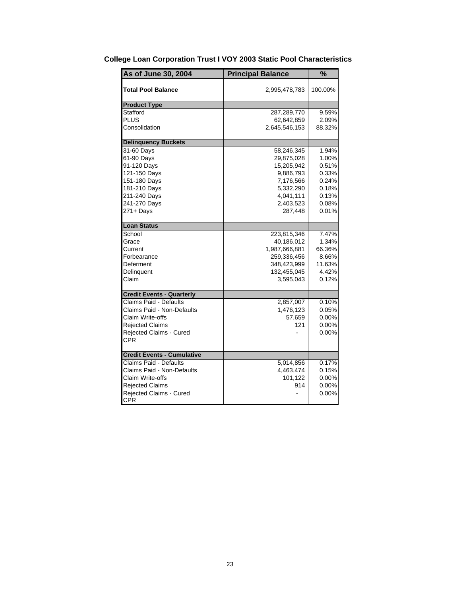| As of June 30, 2004               | <b>Principal Balance</b> | $\overline{\frac{9}{6}}$ |
|-----------------------------------|--------------------------|--------------------------|
| Total Pool Balance                | 2,995,478,783            | 100.00%                  |
| <b>Product Type</b>               |                          |                          |
| Stafford                          | 287,289,770              | 9.59%                    |
| PLUS                              | 62,642,859               | 2.09%                    |
| Consolidation                     | 2,645,546,153            | 88.32%                   |
| <b>Delinquency Buckets</b>        |                          |                          |
| 31-60 Days                        | 58,246,345               | 1.94%                    |
| 61-90 Days                        | 29,875,028               | 1.00%                    |
| 91-120 Days                       | 15,205,942               | 0.51%                    |
| 121-150 Days                      | 9,886,793                | 0.33%                    |
| 151-180 Days                      | 7,176,566                | 0.24%                    |
| 181-210 Days                      | 5,332,290                | 0.18%                    |
| 211-240 Days                      | 4,041,111                | 0.13%                    |
| 241-270 Days                      | 2,403,523                | 0.08%                    |
| 271+ Days                         | 287,448                  | 0.01%                    |
| <b>Loan Status</b>                |                          |                          |
| School                            | 223,815,346              | 7.47%                    |
| Grace                             | 40,186,012               | 1.34%                    |
| Current                           | 1,987,666,881            | 66.36%                   |
| Forbearance                       | 259,336,456              | 8.66%                    |
| Deferment                         | 348,423,999              | 11.63%                   |
| Delinguent                        | 132,455,045              | 4.42%                    |
| Claim                             | 3,595,043                | 0.12%                    |
| <b>Credit Events - Quarterly</b>  |                          |                          |
| <b>Claims Paid - Defaults</b>     | 2,857,007                | 0.10%                    |
| Claims Paid - Non-Defaults        | 1,476,123                | 0.05%                    |
| Claim Write-offs                  | 57,659                   | 0.00%                    |
| <b>Rejected Claims</b>            | 121                      | 0.00%                    |
| Rejected Claims - Cured           |                          | 0.00%                    |
| CPR                               |                          |                          |
| <b>Credit Events - Cumulative</b> |                          |                          |
| <b>Claims Paid - Defaults</b>     | 5,014,856                | 0.17%                    |
| Claims Paid - Non-Defaults        | 4,463,474                | 0.15%                    |
| Claim Write-offs                  | 101,122                  | 0.00%                    |
| <b>Rejected Claims</b>            | 914                      | 0.00%                    |
| Rejected Claims - Cured           |                          | 0.00%                    |
| <b>CPR</b>                        |                          |                          |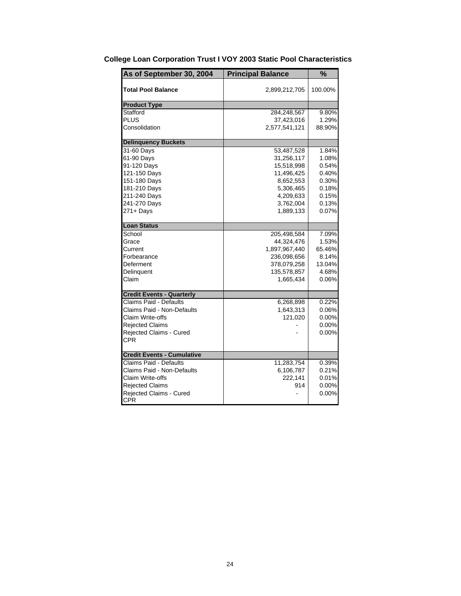| As of September 30, 2004          | <b>Principal Balance</b> | %        |
|-----------------------------------|--------------------------|----------|
| <b>Total Pool Balance</b>         | 2,899,212,705            | 100.00%  |
| <b>Product Type</b>               |                          |          |
| Stafford                          | 284,248,567              | 9.80%    |
| <b>PLUS</b>                       | 37,423,016               | 1.29%    |
| Consolidation                     | 2,577,541,121            | 88.90%   |
| <b>Delinquency Buckets</b>        |                          |          |
| 31-60 Days                        | 53,487,528               | 1.84%    |
| 61-90 Days                        | 31,256,117               | 1.08%    |
| 91-120 Days                       | 15,518,998               | 0.54%    |
| 121-150 Days                      | 11,496,425               | 0.40%    |
| 151-180 Days                      | 8,652,553                | 0.30%    |
| 181-210 Days                      | 5,306,465                | 0.18%    |
| 211-240 Days                      | 4,209,633                | 0.15%    |
| 241-270 Days                      | 3,762,004                | 0.13%    |
| 271+ Days                         | 1,889,133                | 0.07%    |
| <b>Loan Status</b>                |                          |          |
| School                            | 205,498,584              | 7.09%    |
| Grace                             | 44,324,476               | 1.53%    |
| Current                           | 1,897,967,440            | 65.46%   |
| Forbearance                       | 236,098,656              | 8.14%    |
| Deferment                         | 378,079,258              | 13.04%   |
| Delinquent                        | 135,578,857              | 4.68%    |
| Claim                             | 1,665,434                | 0.06%    |
| <b>Credit Events - Quarterly</b>  |                          |          |
| Claims Paid - Defaults            | 6,268,898                | 0.22%    |
| Claims Paid - Non-Defaults        | 1,643,313                | 0.06%    |
| Claim Write-offs                  | 121,020                  | $0.00\%$ |
| <b>Rejected Claims</b>            |                          | $0.00\%$ |
| Rejected Claims - Cured           |                          | 0.00%    |
| <b>CPR</b>                        |                          |          |
| <b>Credit Events - Cumulative</b> |                          |          |
| <b>Claims Paid - Defaults</b>     | 11,283,754               | 0.39%    |
| Claims Paid - Non-Defaults        | 6,106,787                | 0.21%    |
| Claim Write-offs                  | 222,141                  | 0.01%    |
| <b>Rejected Claims</b>            | 914                      | $0.00\%$ |
| Rejected Claims - Cured           |                          | 0.00%    |
| <b>CPR</b>                        |                          |          |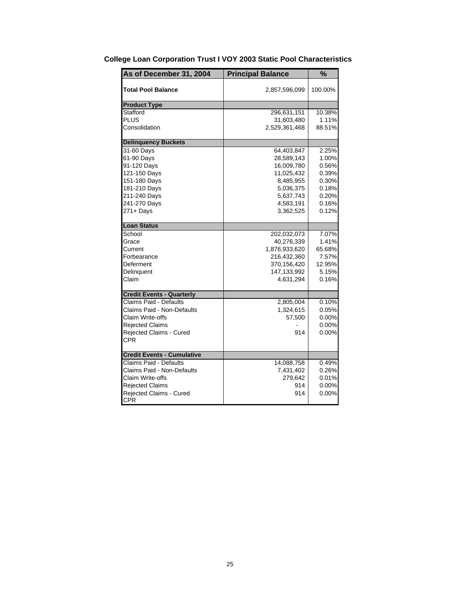| As of December 31, 2004           | <b>Principal Balance</b> | %        |
|-----------------------------------|--------------------------|----------|
| <b>Total Pool Balance</b>         | 2,857,596,099            | 100.00%  |
| <b>Product Type</b>               |                          |          |
| Stafford                          | 296,631,151              | 10.38%   |
| <b>PLUS</b>                       | 31,603,480               | 1.11%    |
| Consolidation                     | 2,529,361,468            | 88.51%   |
| <b>Delinquency Buckets</b>        |                          |          |
| 31-60 Days                        | 64,403,847               | 2.25%    |
| 61-90 Days                        | 28,589,143               | 1.00%    |
| 91-120 Days                       | 16,009,780               | 0.56%    |
| 121-150 Days                      | 11,025,432               | 0.39%    |
| 151-180 Days                      | 8,485,955                | 0.30%    |
| 181-210 Days                      | 5,036,375                | 0.18%    |
| 211-240 Days                      | 5,637,743                | 0.20%    |
| 241-270 Days                      | 4,583,191                | 0.16%    |
| 271+ Days                         | 3,362,525                | 0.12%    |
| <b>Loan Status</b>                |                          |          |
| School                            | 202,032,073              | 7.07%    |
| Grace                             | 40,276,339               | 1.41%    |
| Current                           | 1,876,933,620            | 65.68%   |
| Forbearance                       | 216,432,360              | 7.57%    |
| Deferment                         | 370,156,420              | 12.95%   |
| Delinquent                        | 147, 133, 992            | 5.15%    |
| Claim                             | 4,631,294                | 0.16%    |
| <b>Credit Events - Quarterly</b>  |                          |          |
| Claims Paid - Defaults            | 2,805,004                | 0.10%    |
| Claims Paid - Non-Defaults        | 1,324,615                | 0.05%    |
| Claim Write-offs                  | 57,500                   | $0.00\%$ |
| <b>Rejected Claims</b>            |                          | $0.00\%$ |
| Rejected Claims - Cured           | 914                      | 0.00%    |
| <b>CPR</b>                        |                          |          |
| <b>Credit Events - Cumulative</b> |                          |          |
| <b>Claims Paid - Defaults</b>     | 14,088,758               | 0.49%    |
| Claims Paid - Non-Defaults        | 7,431,402                | 0.26%    |
| Claim Write-offs                  | 279,642                  | 0.01%    |
| <b>Rejected Claims</b>            | 914                      | $0.00\%$ |
| Rejected Claims - Cured           | 914                      | 0.00%    |
| <b>CPR</b>                        |                          |          |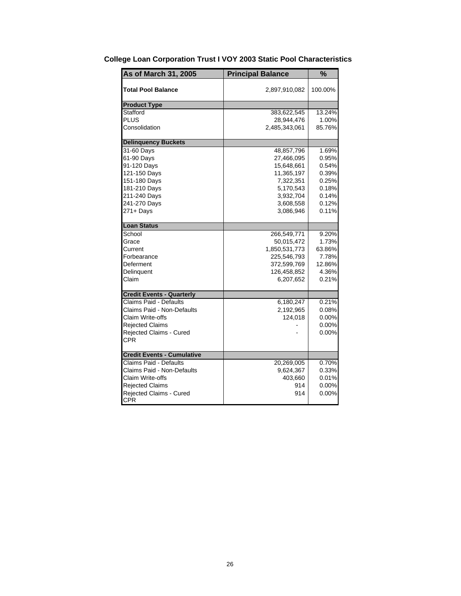| As of March 31, 2005              | <b>Principal Balance</b> | $\frac{1}{2}$ |
|-----------------------------------|--------------------------|---------------|
| <b>Total Pool Balance</b>         | 2,897,910,082            | 100.00%       |
| <b>Product Type</b>               |                          |               |
| Stafford                          | 383,622,545              | 13.24%        |
| PLUS                              | 28,944,476               | 1.00%         |
| Consolidation                     | 2,485,343,061            | 85.76%        |
| <b>Delinquency Buckets</b>        |                          |               |
| 31-60 Days                        | 48,857,796               | 1.69%         |
| 61-90 Days                        | 27,466,095               | 0.95%         |
| 91-120 Days                       | 15,648,661               | 0.54%         |
| 121-150 Days                      | 11,365,197               | 0.39%         |
| 151-180 Days                      | 7,322,351                | 0.25%         |
| 181-210 Days                      | 5,170,543                | 0.18%         |
| 211-240 Days                      | 3,932,704                | 0.14%         |
| 241-270 Days                      | 3,608,558                | 0.12%         |
| 271+ Days                         | 3,086,946                | 0.11%         |
| <b>Loan Status</b>                |                          |               |
| School                            | 266,549,771              | 9.20%         |
| Grace                             | 50,015,472               | 1.73%         |
| Current                           | 1,850,531,773            | 63.86%        |
| Forbearance                       | 225,546,793              | 7.78%         |
| Deferment                         | 372,599,769              | 12.86%        |
| Delinquent                        | 126,458,852              | 4.36%         |
| Claim                             | 6,207,652                | 0.21%         |
| <b>Credit Events - Quarterly</b>  |                          |               |
| Claims Paid - Defaults            | 6,180,247                | 0.21%         |
| Claims Paid - Non-Defaults        | 2,192,965                | 0.08%         |
| Claim Write-offs                  | 124.018                  | 0.00%         |
| <b>Rejected Claims</b>            |                          | 0.00%         |
| Rejected Claims - Cured           |                          | 0.00%         |
| CPR                               |                          |               |
| <b>Credit Events - Cumulative</b> |                          |               |
| Claims Paid - Defaults            | 20,269,005               | 0.70%         |
| Claims Paid - Non-Defaults        | 9,624,367                | 0.33%         |
| Claim Write-offs                  | 403,660                  | 0.01%         |
| <b>Rejected Claims</b>            | 914                      | 0.00%         |
| <b>Rejected Claims - Cured</b>    | 914                      | 0.00%         |
| <b>CPR</b>                        |                          |               |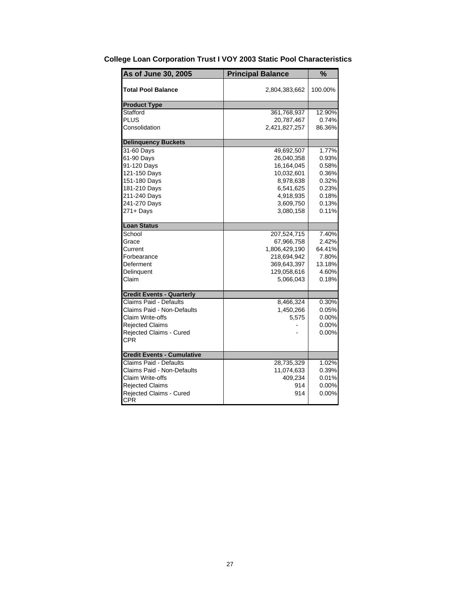| As of June 30, 2005               | <b>Principal Balance</b> | $\frac{1}{2}$ |
|-----------------------------------|--------------------------|---------------|
| <b>Total Pool Balance</b>         | 2,804,383,662            | 100.00%       |
| <b>Product Type</b>               |                          |               |
| Stafford                          | 361,768,937              | 12.90%        |
| PLUS                              | 20,787,467               | 0.74%         |
| Consolidation                     | 2,421,827,257            | 86.36%        |
| <b>Delinquency Buckets</b>        |                          |               |
| 31-60 Days                        | 49,692,507               | 1.77%         |
| 61-90 Days                        | 26,040,358               | 0.93%         |
| 91-120 Days                       | 16,164,045               | 0.58%         |
| 121-150 Days                      | 10,032,601               | 0.36%         |
| 151-180 Days                      | 8,978,638                | 0.32%         |
| 181-210 Days                      | 6,541,625                | 0.23%         |
| 211-240 Days                      | 4,918,935                | 0.18%         |
| 241-270 Days                      | 3,609,750                | 0.13%         |
| 271+ Days                         | 3,080,158                | 0.11%         |
| <b>Loan Status</b>                |                          |               |
| School                            | 207,524,715              | 7.40%         |
| Grace                             | 67,966,758               | 2.42%         |
| Current                           | 1,806,429,190            | 64.41%        |
| Forbearance                       | 218,694,942              | 7.80%         |
| Deferment                         | 369,643,397              | 13.18%        |
| Delinquent                        | 129,058,616              | 4.60%         |
| Claim                             | 5,066,043                | 0.18%         |
| <b>Credit Events - Quarterly</b>  |                          |               |
| Claims Paid - Defaults            | 8,466,324                | 0.30%         |
| Claims Paid - Non-Defaults        | 1,450,266                | 0.05%         |
| Claim Write-offs                  | 5,575                    | 0.00%         |
| <b>Rejected Claims</b>            |                          | 0.00%         |
| Rejected Claims - Cured           |                          | 0.00%         |
| CPR                               |                          |               |
| <b>Credit Events - Cumulative</b> |                          |               |
| Claims Paid - Defaults            | 28,735,329               | 1.02%         |
| Claims Paid - Non-Defaults        | 11,074,633               | 0.39%         |
| Claim Write-offs                  | 409,234                  | 0.01%         |
| <b>Rejected Claims</b>            | 914                      | 0.00%         |
| <b>Rejected Claims - Cured</b>    | 914                      | 0.00%         |
| <b>CPR</b>                        |                          |               |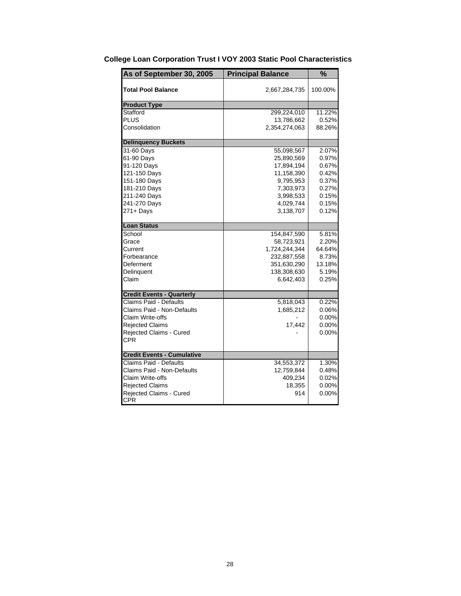| As of September 30, 2005          | <b>Principal Balance</b> | %        |
|-----------------------------------|--------------------------|----------|
| <b>Total Pool Balance</b>         | 2,667,284,735            | 100.00%  |
| <b>Product Type</b>               |                          |          |
| Stafford                          | 299,224,010              | 11.22%   |
| PLUS                              | 13,786,662               | 0.52%    |
| Consolidation                     | 2,354,274,063            | 88.26%   |
| <b>Delinquency Buckets</b>        |                          |          |
| 31-60 Days                        | 55,098,567               | 2.07%    |
| 61-90 Days                        | 25,890,569               | 0.97%    |
| 91-120 Days                       | 17,894,194               | 0.67%    |
| 121-150 Days                      | 11,158,390               | 0.42%    |
| 151-180 Days                      | 9,795,953                | 0.37%    |
| 181-210 Days                      | 7,303,973                | 0.27%    |
| 211-240 Days                      | 3,998,533                | 0.15%    |
| 241-270 Days                      | 4,029,744                | 0.15%    |
| 271+ Days                         | 3,138,707                | 0.12%    |
| <b>Loan Status</b>                |                          |          |
| School                            | 154,847,590              | 5.81%    |
| Grace                             | 58,723,921               | 2.20%    |
| Current                           | 1,724,244,344            | 64.64%   |
| Forbearance                       | 232,887,558              | 8.73%    |
| Deferment                         | 351,630,290              | 13.18%   |
| Delinquent                        | 138,308,630              | 5.19%    |
| Claim                             | 6,642,403                | 0.25%    |
| <b>Credit Events - Quarterly</b>  |                          |          |
| Claims Paid - Defaults            | 5,818,043                | 0.22%    |
| Claims Paid - Non-Defaults        | 1,685,212                | 0.06%    |
| Claim Write-offs                  |                          | $0.00\%$ |
| <b>Rejected Claims</b>            | 17,442                   | 0.00%    |
| Rejected Claims - Cured           |                          | 0.00%    |
| <b>CPR</b>                        |                          |          |
| <b>Credit Events - Cumulative</b> |                          |          |
| <b>Claims Paid - Defaults</b>     | 34,553,372               | 1.30%    |
| Claims Paid - Non-Defaults        | 12,759,844               | 0.48%    |
| Claim Write-offs                  | 409,234                  | 0.02%    |
| <b>Rejected Claims</b>            | 18,355                   | $0.00\%$ |
| Rejected Claims - Cured           | 914                      | 0.00%    |
| <b>CPR</b>                        |                          |          |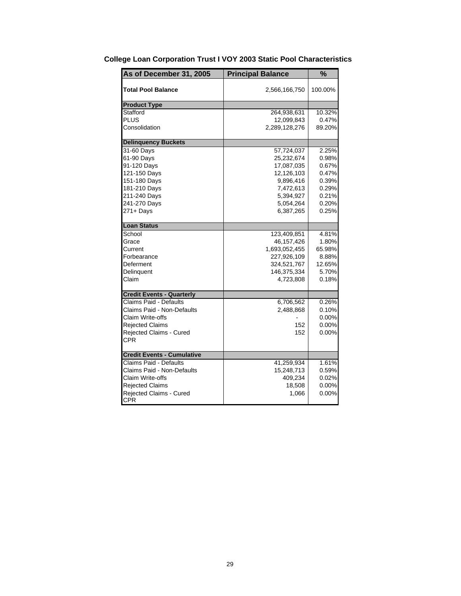| As of December 31, 2005           | <b>Principal Balance</b> | %        |
|-----------------------------------|--------------------------|----------|
| <b>Total Pool Balance</b>         | 2,566,166,750            | 100.00%  |
| <b>Product Type</b>               |                          |          |
| Stafford                          | 264,938,631              | 10.32%   |
| <b>PLUS</b>                       | 12,099,843               | 0.47%    |
| Consolidation                     | 2,289,128,276            | 89.20%   |
| <b>Delinquency Buckets</b>        |                          |          |
| 31-60 Days                        | 57,724,037               | 2.25%    |
| 61-90 Days                        | 25,232,674               | 0.98%    |
| 91-120 Days                       | 17,087,035               | 0.67%    |
| 121-150 Days                      | 12,126,103               | 0.47%    |
| 151-180 Days                      | 9,896,416                | 0.39%    |
| 181-210 Days                      | 7,472,613                | 0.29%    |
| 211-240 Days                      | 5,394,927                | 0.21%    |
| 241-270 Days                      | 5,054,264                | 0.20%    |
| 271+ Days                         | 6,387,265                | 0.25%    |
| <b>Loan Status</b>                |                          |          |
| School                            | 123,409,851              | 4.81%    |
| Grace                             | 46,157,426               | 1.80%    |
| Current                           | 1,693,052,455            | 65.98%   |
| Forbearance                       | 227,926,109              | 8.88%    |
| Deferment                         | 324,521,767              | 12.65%   |
| Delinquent                        | 146,375,334              | 5.70%    |
| Claim                             | 4,723,808                | 0.18%    |
| <b>Credit Events - Quarterly</b>  |                          |          |
| Claims Paid - Defaults            | 6,706,562                | 0.26%    |
| Claims Paid - Non-Defaults        | 2,488,868                | 0.10%    |
| Claim Write-offs                  |                          | 0.00%    |
| <b>Rejected Claims</b>            | 152                      | $0.00\%$ |
| Rejected Claims - Cured           | 152                      | 0.00%    |
| <b>CPR</b>                        |                          |          |
| <b>Credit Events - Cumulative</b> |                          |          |
| <b>Claims Paid - Defaults</b>     | 41,259,934               | 1.61%    |
| Claims Paid - Non-Defaults        | 15,248,713               | 0.59%    |
| Claim Write-offs                  | 409,234                  | 0.02%    |
| <b>Rejected Claims</b>            | 18,508                   | 0.00%    |
| Rejected Claims - Cured           | 1,066                    | 0.00%    |
| <b>CPR</b>                        |                          |          |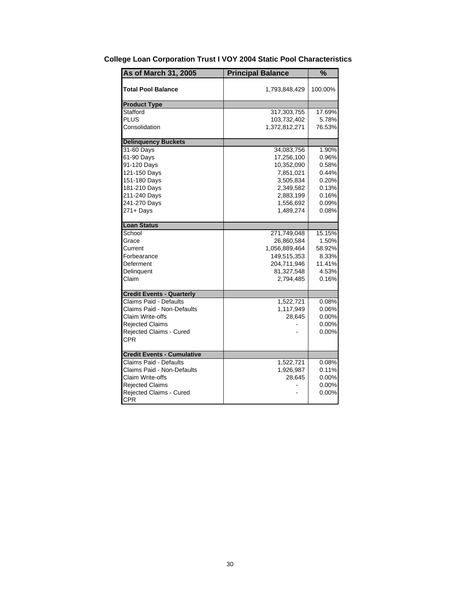| As of March 31, 2005              | <b>Principal Balance</b> | $\frac{1}{2}$ |
|-----------------------------------|--------------------------|---------------|
| <b>Total Pool Balance</b>         | 1,793,848,429            | 100.00%       |
| <b>Product Type</b>               |                          |               |
| Stafford                          | 317,303,755              | 17.69%        |
| PLUS                              | 103,732,402              | 5.78%         |
| Consolidation                     | 1,372,812,271            | 76.53%        |
| <b>Delinquency Buckets</b>        |                          |               |
| 31-60 Days                        | 34,083,756               | 1.90%         |
| 61-90 Days                        | 17,256,100               | 0.96%         |
| 91-120 Days                       | 10,352,090               | 0.58%         |
| 121-150 Days                      | 7,851,021                | 0.44%         |
| 151-180 Days                      | 3,505,834                | 0.20%         |
| 181-210 Days                      | 2,349,582                | 0.13%         |
| 211-240 Days                      | 2,883,199                | 0.16%         |
| 241-270 Days                      | 1,556,692                | 0.09%         |
| $271 +$ Days                      | 1,489,274                | 0.08%         |
| <b>Loan Status</b>                |                          |               |
| School                            | 271,749,048              | 15.15%        |
| Grace                             | 26,860,584               | 1.50%         |
| Current                           | 1,056,889,464            | 58.92%        |
| Forbearance                       | 149,515,353              | 8.33%         |
| Deferment                         | 204,711,946              | 11.41%        |
| Delinquent                        | 81,327,548               | 4.53%         |
| Claim                             | 2,794,485                | 0.16%         |
| <b>Credit Events - Quarterly</b>  |                          |               |
| Claims Paid - Defaults            | 1,522,721                | 0.08%         |
| Claims Paid - Non-Defaults        | 1,117,949                | 0.06%         |
| Claim Write-offs                  | 28,645                   | $0.00\%$      |
| <b>Rejected Claims</b>            |                          | 0.00%         |
| Rejected Claims - Cured           |                          | 0.00%         |
| CPR                               |                          |               |
| <b>Credit Events - Cumulative</b> |                          |               |
| Claims Paid - Defaults            | 1,522,721                | 0.08%         |
| Claims Paid - Non-Defaults        | 1,926,987                | 0.11%         |
| Claim Write-offs                  | 28,645                   | 0.00%         |
| <b>Rejected Claims</b>            |                          | 0.00%         |
| <b>Rejected Claims - Cured</b>    |                          | 0.00%         |
| <b>CPR</b>                        |                          |               |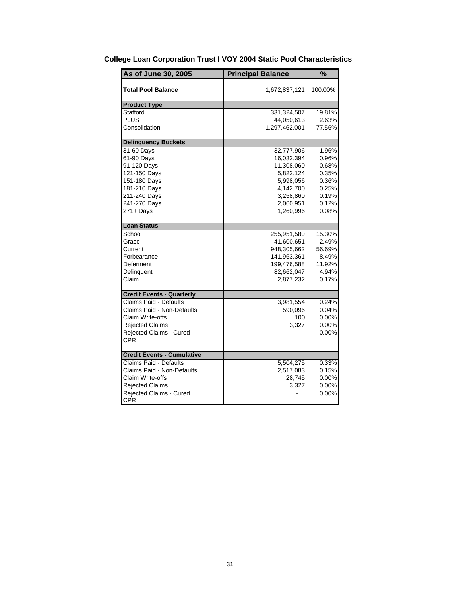| As of June 30, 2005               | <b>Principal Balance</b> | $\frac{1}{2}$ |
|-----------------------------------|--------------------------|---------------|
| Total Pool Balance                | 1,672,837,121            | 100.00%       |
| <b>Product Type</b>               |                          |               |
| Stafford                          | 331,324,507              | 19.81%        |
| PLUS                              | 44,050,613               | 2.63%         |
| Consolidation                     | 1,297,462,001            | 77.56%        |
| <b>Delinquency Buckets</b>        |                          |               |
| 31-60 Days                        | 32,777,906               | 1.96%         |
| 61-90 Days                        | 16,032,394               | 0.96%         |
| 91-120 Days                       | 11,308,060               | 0.68%         |
| 121-150 Days                      | 5,822,124                | 0.35%         |
| 151-180 Days                      | 5,998,056                | 0.36%         |
| 181-210 Days                      | 4,142,700                | 0.25%         |
| 211-240 Days                      | 3,258,860                | 0.19%         |
| 241-270 Days                      | 2,060,951                | 0.12%         |
| $271 +$ Days                      | 1,260,996                | 0.08%         |
| <b>Loan Status</b>                |                          |               |
| School                            | 255,951,580              | 15.30%        |
| Grace                             | 41,600,651               | 2.49%         |
| Current                           | 948,305,662              | 56.69%        |
| Forbearance                       | 141,963,361              | 8.49%         |
| Deferment                         | 199,476,588              | 11.92%        |
| Delinquent                        | 82,662,047               | 4.94%         |
| Claim                             | 2,877,232                | 0.17%         |
| <b>Credit Events - Quarterly</b>  |                          |               |
| Claims Paid - Defaults            | 3,981,554                | 0.24%         |
| Claims Paid - Non-Defaults        | 590,096                  | 0.04%         |
| Claim Write-offs                  | 100                      | $0.00\%$      |
| <b>Rejected Claims</b>            | 3,327                    | 0.00%         |
| <b>Rejected Claims - Cured</b>    |                          | 0.00%         |
| CPR                               |                          |               |
| <b>Credit Events - Cumulative</b> |                          |               |
| Claims Paid - Defaults            | 5,504,275                | 0.33%         |
| Claims Paid - Non-Defaults        | 2,517,083                | 0.15%         |
| Claim Write-offs                  | 28,745                   | 0.00%         |
| <b>Rejected Claims</b>            | 3,327                    | 0.00%         |
| Rejected Claims - Cured           |                          | 0.00%         |
| <b>CPR</b>                        |                          |               |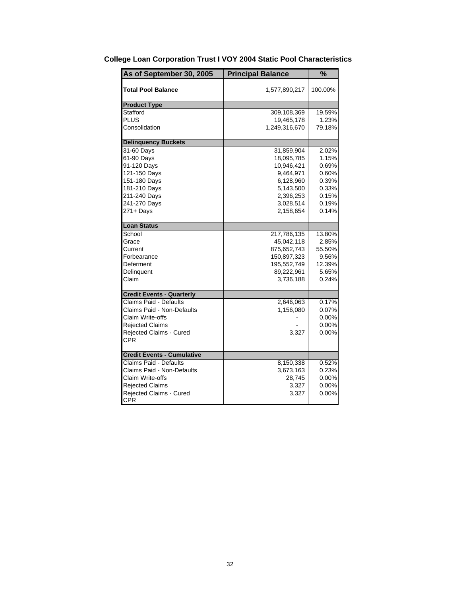| As of September 30, 2005          | <b>Principal Balance</b> | %        |
|-----------------------------------|--------------------------|----------|
| <b>Total Pool Balance</b>         | 1,577,890,217            | 100.00%  |
| <b>Product Type</b>               |                          |          |
| Stafford                          | 309,108,369              | 19.59%   |
| <b>PLUS</b>                       | 19,465,178               | 1.23%    |
| Consolidation                     | 1,249,316,670            | 79.18%   |
| <b>Delinquency Buckets</b>        |                          |          |
| 31-60 Days                        | 31,859,904               | 2.02%    |
| 61-90 Days                        | 18,095,785               | 1.15%    |
| 91-120 Days                       | 10,946,421               | 0.69%    |
| 121-150 Days                      | 9,464,971                | 0.60%    |
| 151-180 Days                      | 6,128,960                | 0.39%    |
| 181-210 Days                      | 5,143,500                | 0.33%    |
| 211-240 Days                      | 2,396,253                | 0.15%    |
| 241-270 Days                      | 3,028,514                | 0.19%    |
| $271 +$ Days                      | 2,158,654                | 0.14%    |
| <b>Loan Status</b>                |                          |          |
| School                            | 217,786,135              | 13.80%   |
| Grace                             | 45,042,118               | 2.85%    |
| Current                           | 875,652,743              | 55.50%   |
| Forbearance                       | 150,897,323              | 9.56%    |
| Deferment                         | 195,552,749              | 12.39%   |
| Delinguent                        | 89,222,961               | 5.65%    |
| Claim                             | 3,736,188                | 0.24%    |
| <b>Credit Events - Quarterly</b>  |                          |          |
| Claims Paid - Defaults            | 2,646,063                | 0.17%    |
| Claims Paid - Non-Defaults        | 1,156,080                | 0.07%    |
| Claim Write-offs                  |                          | 0.00%    |
| <b>Rejected Claims</b>            |                          | 0.00%    |
| Rejected Claims - Cured           | 3,327                    | 0.00%    |
| <b>CPR</b>                        |                          |          |
| <b>Credit Events - Cumulative</b> |                          |          |
| <b>Claims Paid - Defaults</b>     | 8,150,338                | 0.52%    |
| Claims Paid - Non-Defaults        | 3,673,163                | 0.23%    |
| Claim Write-offs                  | 28,745                   | $0.00\%$ |
| <b>Rejected Claims</b>            | 3,327                    | 0.00%    |
| Rejected Claims - Cured           | 3,327                    | 0.00%    |
| <b>CPR</b>                        |                          |          |